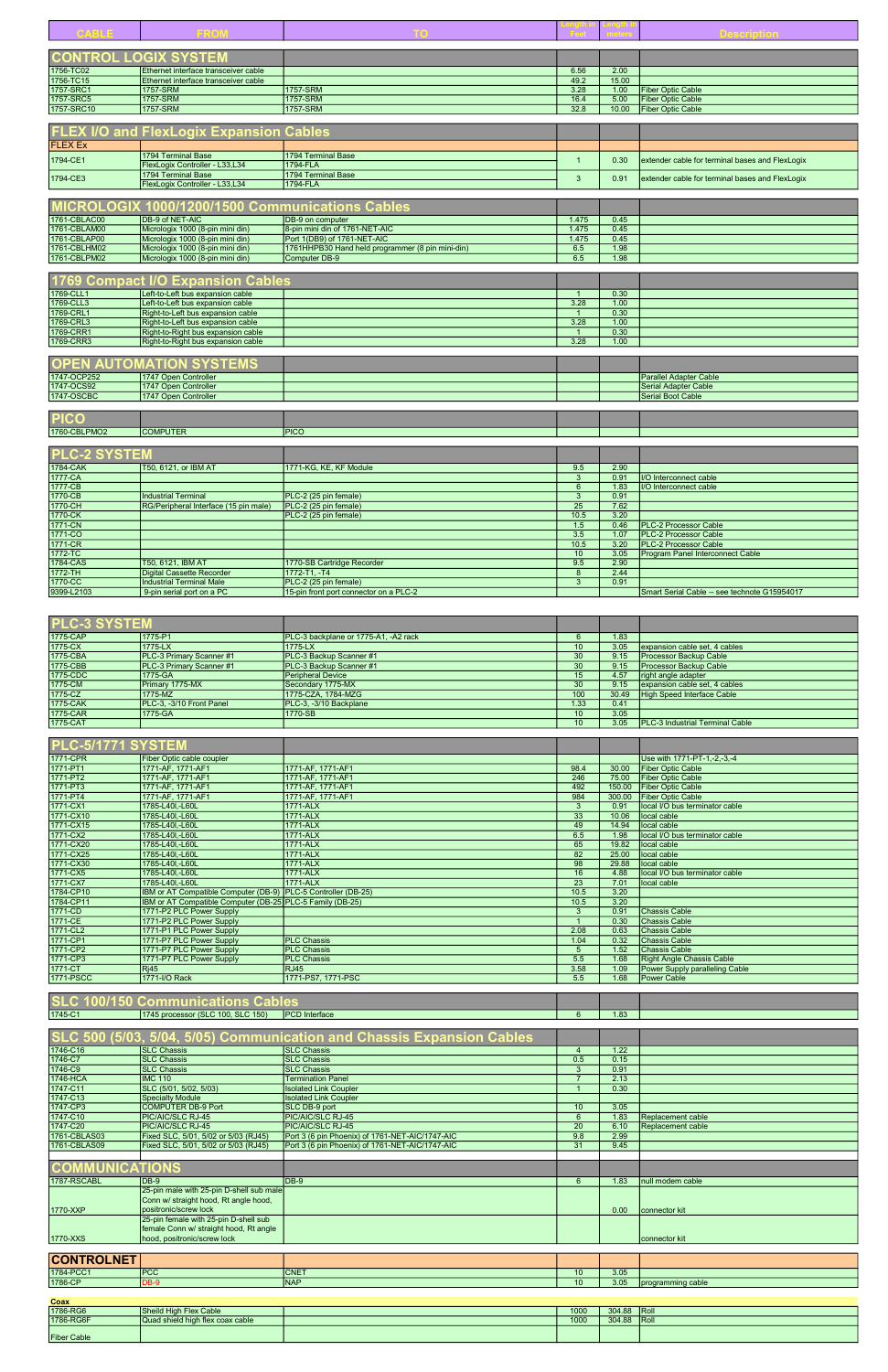| <b>PLU-3 STSTEM</b> |                                 |                                      |      |       |                                         |
|---------------------|---------------------------------|--------------------------------------|------|-------|-----------------------------------------|
| 1775-CAP            | 1775-P1                         | PLC-3 backplane or 1775-A1, -A2 rack |      | 1.83  |                                         |
| 1775-CX             | 1775-LX                         | 1775-LX                              | 10   | 3.05  | expansion cable set, 4 cables           |
| 1775-CBA            | <b>PLC-3 Primary Scanner #1</b> | PLC-3 Backup Scanner #1              | 30   | 9.15  | <b>Processor Backup Cable</b>           |
| 1775-CBB            | <b>PLC-3 Primary Scanner #1</b> | <b>IPLC-3 Backup Scanner #1</b>      | 30   | 9.15  | <b>Processor Backup Cable</b>           |
| 1775-CDC            | 1775-GA                         | <b>Peripheral Device</b>             | 15   | 4.57  | right angle adapter                     |
| 1775-CM             | Primary 1775-MX                 | Secondary 1775-MX                    | 30   | 9.15  | expansion cable set, 4 cables           |
| 1775-CZ             | 1775-MZ                         | 1775-CZA, 1784-MZG                   | 100  | 30.49 | High Speed Interface Cable              |
| 1775-CAK            | PLC-3, -3/10 Front Panel        | PLC-3, -3/10 Backplane               | 1.33 | 0.41  |                                         |
| 1775-CAR            | 1775-GA                         | 1770-SB                              | 10   | 3.05  |                                         |
| 1775-CAT            |                                 |                                      | 10   | 3.05  | <b>IPLC-3 Industrial Terminal Cable</b> |

|                             |                                                      |                                                  |                 |              | Description                                     |
|-----------------------------|------------------------------------------------------|--------------------------------------------------|-----------------|--------------|-------------------------------------------------|
|                             |                                                      |                                                  |                 |              |                                                 |
|                             | <b><u>NTROL LOGIX SYSTEM</u></b>                     |                                                  |                 |              |                                                 |
| 1756-TC02                   | Ethernet interface transceiver cable                 |                                                  | 6.56            | 2.00         |                                                 |
| 1756-TC15                   | Ethernet interface transceiver cable                 |                                                  | 49.2            | 15.00        |                                                 |
| 1757-SRC1                   | 1757-SRM                                             | 1757-SRM                                         | 3.28            | 1.00         | <b>Fiber Optic Cable</b>                        |
| 1757-SRC5                   | 1757-SRM                                             | 1757-SRM                                         | 16.4            | 5.00         | <b>Fiber Optic Cable</b>                        |
| 1757-SRC10                  | 1757-SRM                                             | 1757-SRM                                         | 32.8            | 10.00        | <b>Fiber Optic Cable</b>                        |
|                             |                                                      |                                                  |                 |              |                                                 |
|                             | <b>FLEX I/O and FlexLogix Expansion Cables</b>       |                                                  |                 |              |                                                 |
|                             |                                                      |                                                  |                 |              |                                                 |
| <b>FLEX Ex</b>              |                                                      |                                                  |                 |              |                                                 |
| 1794-CE1                    | 1794 Terminal Base<br>FlexLogix Controller - L33,L34 | 1794 Terminal Base<br>1794-FLA                   | $\overline{1}$  | 0.30         | extender cable for terminal bases and FlexLogix |
|                             | 1794 Terminal Base                                   | 1794 Terminal Base                               |                 |              |                                                 |
| 1794-CE3                    | FlexLogix Controller - L33,L34                       | 1794-FLA                                         | $\mathbf{3}$    | 0.91         | extender cable for terminal bases and FlexLogix |
|                             |                                                      |                                                  |                 |              |                                                 |
|                             |                                                      |                                                  |                 |              |                                                 |
|                             | MICROLOGIX 1000/1200/1500 Communications Cables      |                                                  |                 |              |                                                 |
| 1761-CBLAC00                | <b>DB-9 of NET-AIC</b>                               | DB-9 on computer                                 | 1.475           | 0.45         |                                                 |
| 1761-CBLAM00                | Micrologix 1000 (8-pin mini din)                     | 8-pin mini din of 1761-NET-AIC                   | 1.475           | 0.45         |                                                 |
| 1761-CBLAP00                | Micrologix 1000 (8-pin mini din)                     | Port 1(DB9) of 1761-NET-AIC                      | 1.475           | 0.45         |                                                 |
| 1761-CBLHM02                | Micrologix 1000 (8-pin mini din)                     | 1761HHPB30 Hand held programmer (8 pin mini-din) | 6.5             | 1.98         |                                                 |
| 1761-CBLPM02                | Micrologix 1000 (8-pin mini din)                     | <b>Computer DB-9</b>                             | 6.5             | 1.98         |                                                 |
|                             |                                                      |                                                  |                 |              |                                                 |
|                             | <b>Compact I/O Expansion Cables</b>                  |                                                  |                 |              |                                                 |
| 1769-CLL1                   | Left-to-Left bus expansion cable                     |                                                  |                 | 0.30         |                                                 |
| 1769-CLL3                   | Left-to-Left bus expansion cable                     |                                                  | 3.28            | 1.00         |                                                 |
| 1769-CRL1                   | Right-to-Left bus expansion cable                    |                                                  | $\overline{1}$  | 0.30         |                                                 |
| 1769-CRL3                   | Right-to-Left bus expansion cable                    |                                                  | 3.28            | 1.00         |                                                 |
| 1769-CRR1                   | Right-to-Right bus expansion cable                   |                                                  | $\mathbf{1}$    | 0.30         |                                                 |
| 1769-CRR3                   | Right-to-Right bus expansion cable                   |                                                  | 3.28            | 1.00         |                                                 |
|                             |                                                      |                                                  |                 |              |                                                 |
| <b>AUTOI</b><br><b>OPEN</b> | <b>MATION SYSTEMS</b>                                |                                                  |                 |              |                                                 |
| 1747-OCP252                 | 1747 Open Controller                                 |                                                  |                 |              | <b>Parallel Adapter Cable</b>                   |
| 1747-OCS92                  | 1747 Open Controller                                 |                                                  |                 |              | <b>Serial Adapter Cable</b>                     |
| 1747-OSCBC                  | 1747 Open Controller                                 |                                                  |                 |              | <b>Serial Boot Cable</b>                        |
|                             |                                                      |                                                  |                 |              |                                                 |
| <b>PICO</b>                 |                                                      |                                                  |                 |              |                                                 |
| 1760-CBLPMO2                | <b>COMPUTER</b>                                      | <b>PICO</b>                                      |                 |              |                                                 |
|                             |                                                      |                                                  |                 |              |                                                 |
| <b>PLC-2 SYSTEM</b>         |                                                      |                                                  |                 |              |                                                 |
|                             |                                                      |                                                  |                 |              |                                                 |
| 1784-CAK                    | T50, 6121, or IBM AT                                 | 1771-KG, KE, KF Module                           | 9.5             | 2.90         |                                                 |
| 1777-CA                     |                                                      |                                                  | 3               | 0.91         | I/O Interconnect cable                          |
| 1777-CB                     |                                                      |                                                  | $6\overline{6}$ | 1.83         | I/O Interconnect cable                          |
| 1770-CB                     | <b>Industrial Terminal</b>                           | PLC-2 (25 pin female)                            | 3               | 0.91         |                                                 |
| 1770-CH<br>1770-CK          | RG/Peripheral Interface (15 pin male)                | PLC-2 (25 pin female)                            | 25<br>10.5      | 7.62<br>3.20 |                                                 |
| 1771-CN                     |                                                      | PLC-2 (25 pin female)                            | 1.5             | 0.46         | <b>PLC-2 Processor Cable</b>                    |
| 1771-CO                     |                                                      |                                                  | 3.5             | 1.07         | <b>PLC-2 Processor Cable</b>                    |
| 1771-CR                     |                                                      |                                                  | 10.5            | 3.20         | <b>PLC-2 Processor Cable</b>                    |
| 1772-TC                     |                                                      |                                                  | 10 <sup>°</sup> | 3.05         | <b>Program Panel Interconnect Cable</b>         |
| 1784-CAS                    | T50, 6121, IBM AT                                    | 1770-SB Cartridge Recorder                       | 9.5             | 2.90         |                                                 |
| 1772-TH                     | <b>Digital Cassette Recorder</b>                     | 1772-T1, -T4                                     | 8               | 2.44         |                                                 |
| 1770-CC                     | <b>Industrial Terminal Male</b>                      | PLC-2 (25 pin female)                            | 3 <sup>5</sup>  | 0.91         |                                                 |
| 9399-L2103                  | 9-pin serial port on a PC                            | 15-pin front port connector on a PLC-2           |                 |              | Smart Serial Cable -- see technote G15954017    |
|                             |                                                      |                                                  |                 |              |                                                 |
|                             |                                                      |                                                  |                 |              |                                                 |
| <b>PLC-3 SYSTEM</b>         |                                                      |                                                  |                 |              |                                                 |
|                             |                                                      |                                                  |                 |              |                                                 |

| <b>PLC-5/1771 SYSTEM</b> |                                                               |                    |      |        |                                  |
|--------------------------|---------------------------------------------------------------|--------------------|------|--------|----------------------------------|
| 1771-CPR                 | Fiber Optic cable coupler                                     |                    |      |        | Use with 1771-PT-1,-2,-3,-4      |
| 1771-PT1                 | 1771-AF, 1771-AF1                                             | 1771-AF, 1771-AF1  | 98.4 | 30.00  | <b>Fiber Optic Cable</b>         |
| 1771-PT2                 | 1771-AF, 1771-AF1                                             | 1771-AF, 1771-AF1  | 246  | 75.00  | <b>Fiber Optic Cable</b>         |
| 1771-PT3                 | 1771-AF, 1771-AF1                                             | 1771-AF, 1771-AF1  | 492  | 150.00 | <b>Fiber Optic Cable</b>         |
| 1771-PT4                 | 1771-AF, 1771-AF1                                             | 1771-AF, 1771-AF1  | 984  | 300.00 | <b>Fiber Optic Cable</b>         |
| 1771-CX1                 | 1785-L40I,-L60L                                               | 1771-ALX           | 3    | 0.91   | local I/O bus terminator cable   |
| 1771-CX10                | 1785-L40I,-L60L                                               | 1771-ALX           | 33   | 10.06  | local cable                      |
| 1771-CX15                | 1785-L40I,-L60L                                               | 1771-ALX           | 49   | 14.94  | local cable                      |
| 1771-CX2                 | 1785-L40I,-L60L                                               | 1771-ALX           | 6.5  | 1.98   | local I/O bus terminator cable   |
| 1771-CX20                | 1785-L40I,-L60L                                               | 1771-ALX           | 65   | 19.82  | local cable                      |
| 1771-CX25                | 1785-L40I,-L60L                                               | 1771-ALX           | 82   | 25.00  | local cable                      |
| 1771-CX30                | 1785-L40I,-L60L                                               | 1771-ALX           | 98   | 29.88  | local cable                      |
| 1771-CX5                 | 1785-L40I,-L60L                                               | 1771-ALX           | 16   | 4.88   | local I/O bus terminator cable   |
| 1771-CX7                 | 1785-L40I.-L60L                                               | 1771-ALX           | 23   | 7.01   | local cable                      |
| 1784-CP10                | IBM or AT Compatible Computer (DB-9) PLC-5 Controller (DB-25) |                    | 10.5 | 3.20   |                                  |
| 1784-CP11                | IBM or AT Compatible Computer (DB-25) PLC-5 Family (DB-25)    |                    | 10.5 | 3.20   |                                  |
| 1771-CD                  | 1771-P2 PLC Power Supply                                      |                    | 3    | 0.91   | <b>Chassis Cable</b>             |
| 1771-CE                  | 1771-P2 PLC Power Supply                                      |                    |      | 0.30   | <b>Chassis Cable</b>             |
| 1771-CL2                 | 1771-P1 PLC Power Supply                                      |                    | 2.08 | 0.63   | <b>Chassis Cable</b>             |
| 1771-CP1                 | 1771-P7 PLC Power Supply                                      | <b>PLC Chassis</b> | 1.04 | 0.32   | <b>Chassis Cable</b>             |
| 1771-CP2                 | 1771-P7 PLC Power Supply                                      | <b>PLC Chassis</b> | 5.   | 1.52   | <b>Chassis Cable</b>             |
| 1771-CP3                 | 1771-P7 PLC Power Supply                                      | <b>PLC Chassis</b> | 5.5  | 1.68   | <b>Right Angle Chassis Cable</b> |
| 1771-CT                  | Ri45                                                          | RJ45               | 3.58 | 1.09   | Power Supply paralleling Cable   |
| 1771-PSCC                | 1771-I/O Rack                                                 | 1771-PS7, 1771-PSC | 5.5  | 1.68   | <b>Power Cable</b>               |

| 1745-C1 | $($ (SLC 100, SLC 150)<br>1717<br>1745 processor (SL | <b>IPCD</b> Interface | 1.83 |  |
|---------|------------------------------------------------------|-----------------------|------|--|
|         |                                                      |                       |      |  |

|                       |                                          | SLC 500 (5/03, 5/04, 5/05) Communication and Chassis Expansion Cables |                 |      |                   |
|-----------------------|------------------------------------------|-----------------------------------------------------------------------|-----------------|------|-------------------|
| 1746-C16              | <b>SLC Chassis</b>                       | <b>SLC Chassis</b>                                                    |                 | 1.22 |                   |
| 1746-C7               | <b>SLC Chassis</b>                       | <b>SLC Chassis</b>                                                    | 0.5             | 0.15 |                   |
| 1746-C9               | <b>SLC Chassis</b>                       | <b>SLC Chassis</b>                                                    |                 | 0.91 |                   |
| 1746-HCA              | <b>IMC 110</b>                           | <b>Termination Panel</b>                                              |                 | 2.13 |                   |
| 1747-C11              | SLC (5/01, 5/02, 5/03)                   | <b>Isolated Link Coupler</b>                                          |                 | 0.30 |                   |
| 1747-C13              | <b>Specialty Module</b>                  | <b>Isolated Link Coupler</b>                                          |                 |      |                   |
| 1747-CP3              | <b>COMPUTER DB-9 Port</b>                | SLC DB-9 port                                                         | 10 <sup>°</sup> | 3.05 |                   |
| 1747-C10              | PIC/AIC/SLC RJ-45                        | PIC/AIC/SLC RJ-45                                                     |                 | 1.83 | Replacement cable |
| 1747-C20              | PIC/AIC/SLC RJ-45                        | PIC/AIC/SLC RJ-45                                                     | 20              | 6.10 | Replacement cable |
| 1761-CBLAS03          | Fixed SLC, 5/01, 5/02 or 5/03 (RJ45)     | Port 3 (6 pin Phoenix) of 1761-NET-AIC/1747-AIC                       | 9.8             | 2.99 |                   |
| 1761-CBLAS09          | Fixed SLC, 5/01, 5/02 or 5/03 (RJ45)     | Port 3 (6 pin Phoenix) of 1761-NET-AIC/1747-AIC                       | 31              | 9.45 |                   |
|                       |                                          |                                                                       |                 |      |                   |
| <b>COMMUNICATIONS</b> |                                          |                                                                       |                 |      |                   |
| 1787-RSCABL           | $DB-9$                                   | $DB-9$                                                                | 6               | 1.83 | null modem cable  |
|                       | 25-pin male with 25-pin D-shell sub male |                                                                       |                 |      |                   |
|                       | Conn w/ straight hood, Rt angle hood,    |                                                                       |                 |      |                   |
| 1770-XXP              | positronic/screw lock                    |                                                                       |                 | 0.00 | connector kit     |
|                       | 25-pin female with 25-pin D-shell sub    |                                                                       |                 |      |                   |
|                       | female Conn w/ straight hood, Rt angle   |                                                                       |                 |      |                   |
| 1770-XXS              | hood, positronic/screw lock              |                                                                       |                 |      | connector kit     |

| <b>CONTROLNET</b> |                     |             |      |                   |
|-------------------|---------------------|-------------|------|-------------------|
| 1784-PCC1         | <b>PCC</b>          | <b>CNET</b> | 3.05 |                   |
| 1786-CP           | י הר<br><b>DR-9</b> | <b>INAP</b> | 3.05 | programming cable |

| Coax               |                                  |      |        |              |
|--------------------|----------------------------------|------|--------|--------------|
| 1786-RG6           | Sheild High Flex Cable           | 1000 | 304.88 | $R$ oll      |
| 1786-RG6F          | Quad shield high flex coax cable | 1000 | 304.88 | <b>IRoll</b> |
| <b>Fiber Cable</b> |                                  |      |        |              |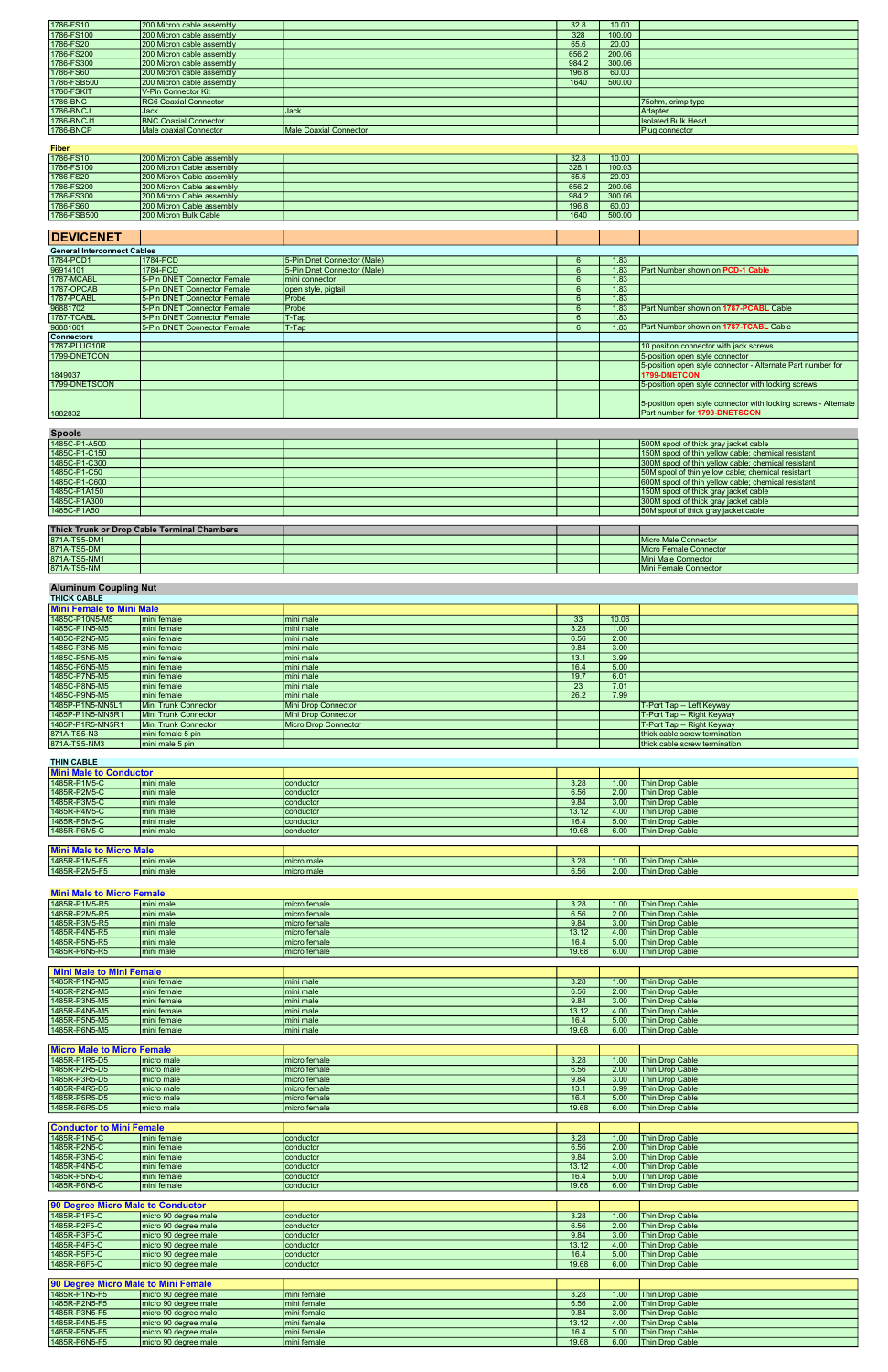| 1786-FS10   | 200 Micron cable assembly    |                               | 32.8  | 10.00  |                           |
|-------------|------------------------------|-------------------------------|-------|--------|---------------------------|
| 1786-FS100  | 200 Micron cable assembly    |                               | 328   | 100.00 |                           |
| 1786-FS20   | 200 Micron cable assembly    |                               | 65.6  | 20.00  |                           |
| 1786-FS200  | 200 Micron cable assembly    |                               | 656.2 | 200.06 |                           |
| 1786-FS300  | 200 Micron cable assembly    |                               | 984.2 | 300.06 |                           |
| 1786-FS60   | 200 Micron cable assembly    |                               | 196.8 | 60.00  |                           |
| 1786-FSB500 | 200 Micron cable assembly    |                               | 1640  | 500.00 |                           |
| 1786-FSKIT  | V-Pin Connector Kit          |                               |       |        |                           |
| 1786-BNC    | <b>RG6 Coaxial Connector</b> |                               |       |        | 75 ohm, crimp type        |
| 1786-BNCJ   | IJack                        | Jack                          |       |        | Adapter                   |
| 1786-BNCJ1  | <b>BNC Coaxial Connector</b> |                               |       |        | <b>Isolated Bulk Head</b> |
| 1786-BNCP   | Male coaxial Connector       | <b>Male Coaxial Connector</b> |       |        | Plug connector            |

| <b>Fiber</b> |                           |       |        |  |
|--------------|---------------------------|-------|--------|--|
| 1786-FS10    | 200 Micron Cable assembly | 32.8  | 10.00  |  |
| 1786-FS100   | 200 Micron Cable assembly | 328.7 | 100.03 |  |
| 1786-FS20    | 200 Micron Cable assembly | 65.6  | 20.00  |  |
| 1786-FS200   | 200 Micron Cable assembly | 656.2 | 200.06 |  |
| 1786-FS300   | 200 Micron Cable assembly | 984.2 | 300.06 |  |
| 1786-FS60    | 200 Micron Cable assembly | 196.8 | 60.00  |  |
| 1786-FSB500  | 200 Micron Bulk Cable     | 1640  | 500.00 |  |

# **DEVICENET**

| <b>General Interconnect Cables</b> |                             |                             |                  |                                                                                                         |
|------------------------------------|-----------------------------|-----------------------------|------------------|---------------------------------------------------------------------------------------------------------|
| 1784-PCD1                          | 1784-PCD                    | 5-Pin Dnet Connector (Male) | .83              |                                                                                                         |
| 96914101                           | 1784-PCD                    | 5-Pin Dnet Connector (Male) | .83              | <b>Part Number shown on PCD-1 Cable</b>                                                                 |
| 1787-MCABL                         | 5-Pin DNET Connector Female | mini connector              | .83              |                                                                                                         |
| 1787-OPCAB                         | 5-Pin DNET Connector Female | open style, pigtail         | .83              |                                                                                                         |
| 1787-PCABL                         | 5-Pin DNET Connector Female | <b>IProbe</b>               | 1.83             |                                                                                                         |
| 96881702                           | 5-Pin DNET Connector Female | <b>Probe</b>                | .83              | Part Number shown on 1787-PCABL Cable                                                                   |
| 1787-TCABL                         | 5-Pin DNET Connector Female | T-Tap                       | .83 <sub>1</sub> |                                                                                                         |
| 96881601                           | 5-Pin DNET Connector Female | T-Tap                       | .83              | <b>Part Number shown on 1787-TCABL Cable</b>                                                            |
| <b>Connectors</b>                  |                             |                             |                  |                                                                                                         |
| 1787-PLUG10R                       |                             |                             |                  | 10 position connector with jack screws                                                                  |
| 1799-DNETCON                       |                             |                             |                  | 5-position open style connector                                                                         |
| 1849037                            |                             |                             |                  | 5-position open style connector - Alternate Part number for<br>1799-DNETCON                             |
| 1799-DNETSCON                      |                             |                             |                  | 5-position open style connector with locking screws                                                     |
| 1882832                            |                             |                             |                  | 5-position open style connector with locking screws - Alternate<br><b>Part number for 1799-DNETSCON</b> |

### Spools

| -----                       |                                                     |
|-----------------------------|-----------------------------------------------------|
| 1485C-P1-A500               | 500M spool of thick gray jacket cable               |
| 1485C-P1-C150               | 150M spool of thin yellow cable; chemical resistant |
| 1485C-P1-C300               | 300M spool of thin yellow cable; chemical resistant |
| 1485C-P1-C50                | 50M spool of thin yellow cable; chemical resistant  |
| 1485C-P1-C600               | 600M spool of thin yellow cable; chemical resistant |
| 1485C-P1A150                | 150M spool of thick gray jacket cable               |
| 1485C-P1A300                | 300M spool of thick gray jacket cable               |
| 1485C-P1A50                 | 50M spool of thick gray jacket cable                |
|                             |                                                     |
| ___________<br>- - - -<br>. |                                                     |

| Thick Trunk or Drop Cable Terminal Chambers |  |  |                        |
|---------------------------------------------|--|--|------------------------|
| 871A-TS5-DM1                                |  |  | Micro Male Connector   |
| 871A-TS5-DM                                 |  |  | Micro Female Connector |
| 871A-TS5-NM1                                |  |  | Mini Male Connector    |
| 871A-TS5-NM                                 |  |  | Mini Female Connector  |

#### Aluminum Coupling Nut

| <b>THICK CABLE</b>              |                      |                      |      |       |                                |  |  |
|---------------------------------|----------------------|----------------------|------|-------|--------------------------------|--|--|
| <b>Mini Female to Mini Male</b> |                      |                      |      |       |                                |  |  |
| 1485C-P10N5-M5                  | Imini female         | Imini male           | 33   | 10.06 |                                |  |  |
| 1485C-P1N5-M5                   | mini female          | mini male            | 3.28 | 1.00  |                                |  |  |
| 1485C-P2N5-M5                   | mini female          | Imini male           | 6.56 | 2.00  |                                |  |  |
| 1485C-P3N5-M5                   | mini female          | Imini male           | 9.84 | 3.00  |                                |  |  |
| 1485C-P5N5-M5                   | mini female          | Imini male           | 13.1 | 3.99  |                                |  |  |
| 1485C-P6N5-M5                   | mini female          | Imini male           | 16.4 | 5.00  |                                |  |  |
| 1485C-P7N5-M5                   | mini female          | mini male            | 19.7 | 6.01  |                                |  |  |
| 1485C-P8N5-M5                   | mini female          | Imini male           | 23   | 7.01  |                                |  |  |
| 1485C-P9N5-M5                   | Imini female         | Imini male           | 26.2 | 7.99  |                                |  |  |
| 1485P-P1N5-MN5L1                | Mini Trunk Connector | Mini Drop Connector  |      |       | T-Port Tap -- Left Keyway      |  |  |
| 1485P-P1N5-MN5R1                | Mini Trunk Connector | Mini Drop Connector  |      |       | T-Port Tap -- Right Keyway     |  |  |
| 1485P-P1R5-MN5R1                | Mini Trunk Connector | Micro Drop Connector |      |       | T-Port Tap -- Right Keyway     |  |  |
| 871A-TS5-N3                     | mini female 5 pin    |                      |      |       | thick cable screw termination  |  |  |
| 871A-TS5-NM3                    | mini male 5 pin      |                      |      |       | Ithick cable screw termination |  |  |

# THIN CABLE

| <b>Mini Male to Conductor</b>  |            |                  |       |                   |                        |
|--------------------------------|------------|------------------|-------|-------------------|------------------------|
| 1485R-P1M5-C                   | mini male  | <b>conductor</b> | 3.28  | 1.00 <sub>1</sub> | Thin Drop Cable        |
| 1485R-P2M5-C                   | mini male  | conductor        | 6.56  | 2.00              | <b>Thin Drop Cable</b> |
| 1485R-P3M5-C                   | mini male  | conductor        | 9.84  | 3.00              | Thin Drop Cable        |
| 1485R-P4M5-C                   | mini male  | conductor        | 13.12 | 4.00              | Thin Drop Cable        |
| 1485R-P5M5-C                   | mini male  | <b>conductor</b> | 16.4  | 5.00              | Thin Drop Cable        |
| 1485R-P6M5-C                   | lmini male | conductor        | 19.68 | 6.00              | Thin Drop Cable        |
|                                |            |                  |       |                   |                        |
| <b>Mini Male to Micro Male</b> |            |                  |       |                   |                        |
| 1485R-P1M5-F5                  | mini male  | Imicro male      | 3.28  | 1.00              | Thin Drop Cable        |
| 1485R-P2M5-F5                  | Imini male | Imicro male      | 6.56  | 2.00              | <b>Thin Drop Cable</b> |

# Mini Male to Micro Female

| 1485R-P1M5-R5 | Imini male | Imicro female  | 3.28  | 1.00 | <b>Thin Drop Cable</b> |
|---------------|------------|----------------|-------|------|------------------------|
| 1485R-P2M5-R5 | Imini male | I micro female | 6.56  | 2.00 | <b>Thin Drop Cable</b> |
| 1485R-P3M5-R5 | Imini male | I micro female | 9.84  | 3.00 | <b>Thin Drop Cable</b> |
| 1485R-P4N5-R5 | Imini male | Imicro female  | 13.12 | 4.00 | <b>Thin Drop Cable</b> |
| 1485R-P5N5-R5 | Imini male | Imicro female  | 16.4  | 5.00 | <b>Thin Drop Cable</b> |
| 1485R-P6N5-R5 | Imini male | I micro female | 19.68 | 6.00 | <b>Thin Drop Cable</b> |

| Mini Male to Mini Female |              |           |       |      |                        |
|--------------------------|--------------|-----------|-------|------|------------------------|
| 1485R-P1N5-M5            | Imini female | mini male | 3.28  | 1.00 | <b>Thin Drop Cable</b> |
| 1485R-P2N5-M5            | Imini female | mini male | 6.56  | 2.00 | <b>Thin Drop Cable</b> |
| 1485R-P3N5-M5            | Imini female | mini male | 9.84  | 3.00 | <b>Thin Drop Cable</b> |
| 1485R-P4N5-M5            | Imini female | mini male | 13.12 | 4.00 | <b>Thin Drop Cable</b> |
| 1485R-P5N5-M5            | Imini female | mini male | 16.4  | 5.00 | <b>Thin Drop Cable</b> |
| 1485R-P6N5-M5            | Imini female | mini male | 19.68 | 6.00 | <b>Thin Drop Cable</b> |

| <b>Micro Male to Micro Female</b> |             |               |       |      |                        |
|-----------------------------------|-------------|---------------|-------|------|------------------------|
| 1485R-P1R5-D5                     | Imicro male | Imicro female | 3.28  | 1.00 | <b>Thin Drop Cable</b> |
| 1485R-P2R5-D5                     | Imicro male | Imicro female | 6.56  | 2.00 | <b>Thin Drop Cable</b> |
| 1485R-P3R5-D5                     | Imicro male | Imicro female | 9.84  | 3.00 | <b>Thin Drop Cable</b> |
| 1485R-P4R5-D5                     | Imicro male | Imicro female | 13.1  | 3.99 | <b>Thin Drop Cable</b> |
| 1485R-P5R5-D5                     | Imicro male | Imicro female | 16.4  | 5.00 | <b>Thin Drop Cable</b> |
| 1485R-P6R5-D5                     | Imicro male | Imicro female | 19.68 | 6.00 | <b>Thin Drop Cable</b> |

| <b>Conductor to Mini Female</b> |              |                    |       |      |                        |
|---------------------------------|--------------|--------------------|-------|------|------------------------|
| 1485R-P1N5-C                    | Imini female | conductor          | 3.28  | 1.00 | <b>Thin Drop Cable</b> |
| 1485R-P2N5-C                    | Imini female | <b>conductor</b>   | 6.56  | 2.00 | <b>Thin Drop Cable</b> |
| 1485R-P3N5-C                    | mini female  | <b>I</b> conductor | 9.84  | 3.00 | <b>Thin Drop Cable</b> |
| 1485R-P4N5-C                    | Imini female | <b>conductor</b>   | 13.12 | 4.00 | <b>Thin Drop Cable</b> |
| 1485R-P5N5-C                    | Imini female | <b>conductor</b>   | 16.4  | 5.00 | <b>Thin Drop Cable</b> |
| 1485R-P6N5-C                    | mini female  | conductor          | 19.68 | 6.00 | Thin Drop Cable        |

| <b>90 Degree Micro Male to Conductor</b> |                       |           |       |      |                        |
|------------------------------------------|-----------------------|-----------|-------|------|------------------------|
| 1485R-P1F5-C                             | micro 90 degree male  | conductor | 3.28  | 1.00 | <b>Thin Drop Cable</b> |
| 1485R-P2F5-C                             | Imicro 90 degree male | conductor | 6.56  | 2.00 | <b>Thin Drop Cable</b> |
| 1485R-P3F5-C                             | Imicro 90 degree male | conductor | 9.84  | 3.00 | <b>Thin Drop Cable</b> |
| 1485R-P4F5-C                             | Imicro 90 degree male | conductor | 13.12 | 4.00 | <b>Thin Drop Cable</b> |
| 1485R-P5F5-C                             | Imicro 90 degree male | conductor | 16.4  | 5.00 | <b>Thin Drop Cable</b> |
| 1485R-P6F5-C                             | Imicro 90 degree male | conductor | 19.68 | 6.00 | <b>Thin Drop Cable</b> |

| <b>90 Degree Micro Male to Mini Female</b> |                       |             |       |      |                        |
|--------------------------------------------|-----------------------|-------------|-------|------|------------------------|
| 1485R-P1N5-F5                              | Imicro 90 degree male | mini female | 3.28  | 1.00 | <b>Thin Drop Cable</b> |
| 1485R-P2N5-F5                              | Imicro 90 degree male | mini female | 6.56  | 2.00 | <b>Thin Drop Cable</b> |
| 1485R-P3N5-F5                              | Imicro 90 degree male | mini female | 9.84  | 3.00 | <b>Thin Drop Cable</b> |
| 1485R-P4N5-F5                              | Imicro 90 degree male | mini female | 13.12 | 4.00 | <b>Thin Drop Cable</b> |
| 1485R-P5N5-F5                              | Imicro 90 degree male | mini female | 16.4  | 5.00 | <b>Thin Drop Cable</b> |
| 1485R-P6N5-F5                              | micro 90 degree male  | mini female | 19.68 | 6.00 | <b>Thin Drop Cable</b> |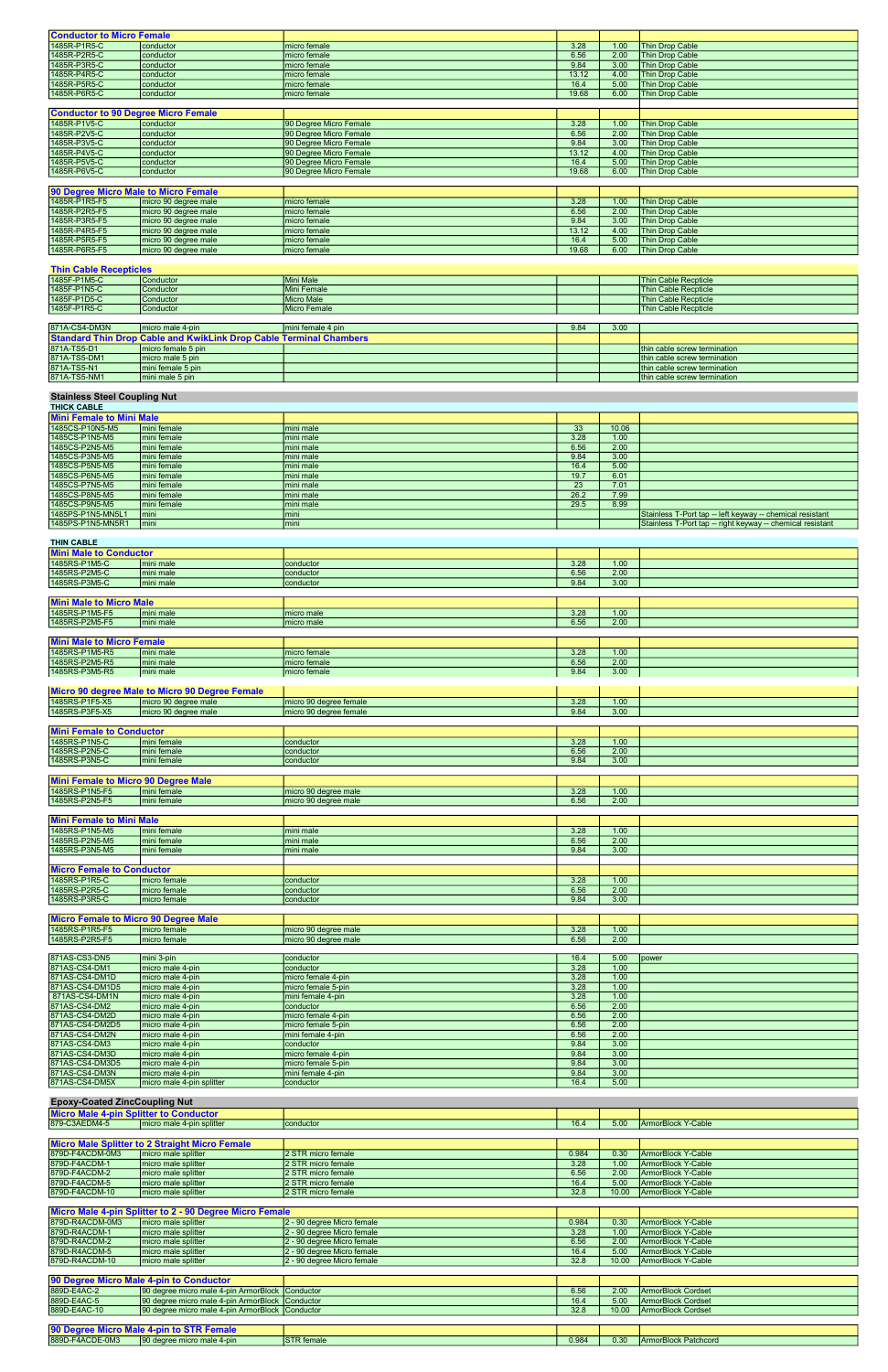| <b>Conductor to Micro Female</b>           |                      |                        |       |      |                        |
|--------------------------------------------|----------------------|------------------------|-------|------|------------------------|
| 1485R-P1R5-C                               | conductor            | micro female           | 3.28  | 1.00 | Thin Drop Cable        |
| 1485R-P2R5-C                               | conductor            | micro female           | 6.56  | 2.00 | Thin Drop Cable        |
| 1485R-P3R5-C                               | conductor            | micro female           | 9.84  | 3.00 | Thin Drop Cable        |
| 1485R-P4R5-C                               | conductor            | micro female           | 13.12 | 4.00 | Thin Drop Cable        |
| 1485R-P5R5-C                               | conductor            | micro female           | 16.4  | 5.00 | Thin Drop Cable        |
| 1485R-P6R5-C                               | conductor            | micro female           | 19.68 | 6.00 | <b>Thin Drop Cable</b> |
|                                            |                      |                        |       |      |                        |
| <b>Conductor to 90 Degree Micro Female</b> |                      |                        |       |      |                        |
| 1485R-P1V5-C                               | conductor            | 90 Degree Micro Female | 3.28  | 1.00 | <b>Thin Drop Cable</b> |
| 1485R-P2V5-C                               | conductor            | 90 Degree Micro Female | 6.56  | 2.00 | Thin Drop Cable        |
| 1485R-P3V5-C                               | conductor            | 90 Degree Micro Female | 9.84  | 3.00 | Thin Drop Cable        |
| 1485R-P4V5-C                               | conductor            | 90 Degree Micro Female | 13.12 | 4.00 | Thin Drop Cable        |
| 1485R-P5V5-C                               | conductor            | 90 Degree Micro Female | 16.4  | 5.00 | Thin Drop Cable        |
| 1485R-P6V5-C                               | conductor            | 90 Degree Micro Female | 19.68 | 6.00 | Thin Drop Cable        |
|                                            |                      |                        |       |      |                        |
| 90 Degree Micro Male to Micro Female       |                      |                        |       |      |                        |
| 1485R-P1R5-F5                              | micro 90 degree male | micro female           | 3.28  | 1.00 | Thin Drop Cable        |
| 1485R-P2R5-F5                              | micro 90 degree male | micro female           | 6.56  | 2.00 | Thin Drop Cable        |
| 1485R-P3R5-F5                              | micro 90 degree male | micro female           | 9.84  | 3.00 | Thin Drop Cable        |
| 1485R-P4R5-F5                              | micro 90 degree male | micro female           | 13.12 | 4.00 | Thin Drop Cable        |
| 1485R-P5R5-F5                              | micro 90 degree male | micro female           | 16.4  | 5.00 | Thin Drop Cable        |
| 1485R-P6R5-F5                              | micro 90 degree male | micro female           | 19.68 | 6.00 | Thin Drop Cable        |
|                                            |                      |                        |       |      |                        |

## Thin Cable Recepticles

| 1485F-P1M5-C  | Conductor                                                                 | Mini Male          |      |      | Thin Cable Recpticle        |
|---------------|---------------------------------------------------------------------------|--------------------|------|------|-----------------------------|
| 1485F-P1N5-C  | Conductor                                                                 | Mini Female        |      |      | <b>Thin Cable Recpticle</b> |
| 1485F-P1D5-C  | Conductor                                                                 | <b>Micro Male</b>  |      |      | Thin Cable Recpticle        |
| 1485F-P1R5-C  | Conductor                                                                 | Micro Female       |      |      | <b>Thin Cable Recoticle</b> |
|               |                                                                           |                    |      |      |                             |
| 871A-CS4-DM3N | Imicro male 4-pin                                                         | Imini female 4 pin | 9.84 | 3.00 |                             |
|               | <b>Standard Thin Drop Cable and KwikLink Drop Cable Terminal Chambers</b> |                    |      |      |                             |
|               |                                                                           |                    |      |      |                             |

| <u>TStandard Thin Drop Cable and Kwiklink Drop Cable Terminal Chambers</u> |                     |  |  |  |                               |
|----------------------------------------------------------------------------|---------------------|--|--|--|-------------------------------|
| 871A-TS5-D1                                                                | Imicro female 5 pin |  |  |  | Ithin cable screw termination |
| 871A-TS5-DM1                                                               | Imicro male 5 pin   |  |  |  | Ithin cable screw termination |
| 871A-TS5-N1                                                                | Imini female 5 pin  |  |  |  | Ithin cable screw termination |
| 871A-TS5-NM1                                                               | Imini male 5 pin    |  |  |  | Ithin cable screw termination |

#### Stainless Steel Coupling Nut

| <b>THICK CABLE</b>              |              |           |      |       |                                                            |  |  |  |
|---------------------------------|--------------|-----------|------|-------|------------------------------------------------------------|--|--|--|
| <b>Mini Female to Mini Male</b> |              |           |      |       |                                                            |  |  |  |
| 1485CS-P10N5-M5                 | mini female  | mini male | 33   | 10.06 |                                                            |  |  |  |
| 1485CS-P1N5-M5                  | Imini female | mini male | 3.28 | 1.00  |                                                            |  |  |  |
| 1485CS-P2N5-M5                  | Imini female | mini male | 6.56 | 2.00  |                                                            |  |  |  |
| 1485CS-P3N5-M5                  | mini female  | mini male | 9.84 | 3.00  |                                                            |  |  |  |
| 1485CS-P5N5-M5                  | Imini female | mini male | 16.4 | 5.00  |                                                            |  |  |  |
| 1485CS-P6N5-M5                  | Imini female | mini male | 19.7 | 6.01  |                                                            |  |  |  |
| 11485CS-P7N5-M5                 | mini female  | mini male | 23   | 7.01  |                                                            |  |  |  |
| 1485CS-P8N5-M5                  | mini female  | mini male | 26.2 | 7.99  |                                                            |  |  |  |
| 1485CS-P9N5-M5                  | mini female  | mini male | 29.5 | 8.99  |                                                            |  |  |  |
| 1485PS-P1N5-MN5L1               | mini         | mini      |      |       | Stainless T-Port tap -- left keyway -- chemical resistant  |  |  |  |
| 1485PS-P1N5-MN5R1               | mini         | lmini     |      |       | Stainless T-Port tap -- right keyway -- chemical resistant |  |  |  |

## THIN CABLE

| <b>Mini Male to Conductor</b>               |                                                |                        |      |      |       |
|---------------------------------------------|------------------------------------------------|------------------------|------|------|-------|
| 1485RS-P1M5-C                               | mini male                                      | conductor              | 3.28 | 1.00 |       |
| 1485RS-P2M5-C                               | mini male                                      | conductor              | 6.56 | 2.00 |       |
| 1485RS-P3M5-C                               | mini male                                      | conductor              | 9.84 | 3.00 |       |
|                                             |                                                |                        |      |      |       |
| <b>Mini Male to Micro Male</b>              |                                                |                        |      |      |       |
| 1485RS-P1M5-F5                              | mini male                                      | micro male             | 3.28 | 1.00 |       |
| 1485RS-P2M5-F5                              | mini male                                      | micro male             | 6.56 | 2.00 |       |
|                                             |                                                |                        |      |      |       |
| <b>Mini Male to Micro Female</b>            |                                                |                        |      |      |       |
| 1485RS-P1M5-R5                              | mini male                                      | micro female           | 3.28 | 1.00 |       |
| 1485RS-P2M5-R5                              | mini male                                      | micro female           | 6.56 | 2.00 |       |
| 1485RS-P3M5-R5                              | mini male                                      | micro female           | 9.84 | 3.00 |       |
|                                             |                                                |                        |      |      |       |
|                                             | Micro 90 degree Male to Micro 90 Degree Female |                        |      |      |       |
| 1485RS-P1F5-X5                              | micro 90 degree male                           | micro 90 degree female | 3.28 | 1.00 |       |
| 1485RS-P3F5-X5                              | micro 90 degree male                           | micro 90 degree female | 9.84 | 3.00 |       |
|                                             |                                                |                        |      |      |       |
| <b>Mini Female to Conductor</b>             |                                                |                        |      |      |       |
| 1485RS-P1N5-C                               | mini female                                    | conductor              | 3.28 | 1.00 |       |
| 1485RS-P2N5-C                               | mini female                                    | conductor              | 6.56 | 2.00 |       |
| 1485RS-P3N5-C                               | mini female                                    | conductor              | 9.84 | 3.00 |       |
|                                             |                                                |                        |      |      |       |
| Mini Female to Micro 90 Degree Male         |                                                |                        |      |      |       |
| 1485RS-P1N5-F5                              | mini female                                    | micro 90 degree male   | 3.28 | 1.00 |       |
| 1485RS-P2N5-F5                              | mini female                                    | micro 90 degree male   | 6.56 | 2.00 |       |
|                                             |                                                |                        |      |      |       |
| <b>Mini Female to Mini Male</b>             |                                                |                        |      |      |       |
| 1485RS-P1N5-M5                              | mini female                                    | mini male              | 3.28 | 1.00 |       |
| 1485RS-P2N5-M5                              | mini female                                    | mini male              | 6.56 | 2.00 |       |
| 1485RS-P3N5-M5                              | mini female                                    | mini male              | 9.84 | 3.00 |       |
|                                             |                                                |                        |      |      |       |
| <b>Micro Female to Conductor</b>            |                                                |                        |      |      |       |
| 1485RS-P1R5-C                               | micro female                                   | conductor              | 3.28 | 1.00 |       |
| 1485RS-P2R5-C                               | micro female                                   | conductor              | 6.56 | 2.00 |       |
| 1485RS-P3R5-C                               | micro female                                   | conductor              | 9.84 | 3.00 |       |
|                                             |                                                |                        |      |      |       |
| <b>Micro Female to Micro 90 Degree Male</b> |                                                |                        |      |      |       |
| 1485RS-P1R5-F5                              | micro female                                   | micro 90 degree male   | 3.28 | 1.00 |       |
| 1485RS-P2R5-F5                              | micro female                                   | micro 90 degree male   | 6.56 | 2.00 |       |
|                                             |                                                |                        |      |      |       |
| 871AS-CS3-DN5                               | mini 3-pin                                     | conductor              | 16.4 | 5.00 | power |
| 871AS-CS4-DM1                               | micro male 4-pin                               | conductor              | 3.28 | 1.00 |       |

| 187 1AS-CS3-DN5 | ımını 3-bin       | <b>ICONQUETOR</b>   | 10.4 | 5.UU | <b>I</b> power |
|-----------------|-------------------|---------------------|------|------|----------------|
| 871AS-CS4-DM1   | Imicro male 4-pin | <b>conductor</b>    | 3.28 | 1.00 |                |
| 871AS-CS4-DM1D  | Imicro male 4-pin | Imicro female 4-pin | 3.28 | 1.00 |                |
| 871AS-CS4-DM1D5 | Imicro male 4-pin | Imicro female 5-pin | 3.28 | 1.00 |                |
| 871AS-CS4-DM1N  | Imicro male 4-pin | Imini female 4-pin  | 3.28 | 1.00 |                |
| 871AS-CS4-DM2   | micro male 4-pin  | <b>conductor</b>    | 6.56 | 2.00 |                |

| 871AS-CS4-DM2D  | Imicro male 4-pin         | I micro female 4-pin | 6.56 | 2.00 |  |
|-----------------|---------------------------|----------------------|------|------|--|
| 871AS-CS4-DM2D5 | Imicro male 4-pin         | micro female 5-pin   | 6.56 | 2.00 |  |
| 871AS-CS4-DM2N  | Imicro male 4-pin         | Imini female 4-pin   | 6.56 | 2.00 |  |
| 871AS-CS4-DM3   | Imicro male 4-pin         | conductor            | 9.84 | 3.00 |  |
| 871AS-CS4-DM3D  | Imicro male 4-pin         | Imicro female 4-pin  | 9.84 | 3.00 |  |
| 871AS-CS4-DM3D5 | micro male 4-pin          | micro female 5-pin   | 9.84 | 3.00 |  |
| 871AS-CS4-DM3N  | Imicro male 4-pin         | mini female 4-pin    | 9.84 | 3.00 |  |
| 871AS-CS4-DM5X  | micro male 4-pin splitter | conductor            | 16.4 | 5.00 |  |

| <b>Epoxy-Coated ZincCoupling Nut</b>       |                       |           |      |      |                    |  |  |
|--------------------------------------------|-----------------------|-----------|------|------|--------------------|--|--|
| <b>Micro Male</b>                          | Splitter to Conductor |           |      |      |                    |  |  |
| 879-C3AEDM4-5<br>micro male 4-pin splitter |                       | conductor | 16.4 | 5.00 | ArmorBlock Y-Cable |  |  |

|                 | <b>IMicro Male Splitter to 2 Straight Micro Female</b> |                     |       |       |                           |
|-----------------|--------------------------------------------------------|---------------------|-------|-------|---------------------------|
| 879D-F4ACDM-0M3 | I micro male splitter                                  | 12 STR micro female | 0.984 | 0.30  | <b>ArmorBlock Y-Cable</b> |
| 879D-F4ACDM-1   | I micro male splitter                                  | 12 STR micro female | 3.28  | 1.00  | <b>ArmorBlock Y-Cable</b> |
| 879D-F4ACDM-2   | I micro male splitter                                  | 12 STR micro female | 6.56  | 2.00  | ArmorBlock Y-Cable        |
| 879D-F4ACDM-5   | I micro male splitter                                  | 12 STR micro female | 16.4  | 5.00  | ArmorBlock Y-Cable        |
| 879D-F4ACDM-10  | I micro male splitter                                  | 12 STR micro female | 32.8  | 10.00 | ArmorBlock Y-Cable        |

| Micro Male 4-pin Splitter to 2 - 90 Degree Micro Female |                       |                             |       |       |                    |
|---------------------------------------------------------|-----------------------|-----------------------------|-------|-------|--------------------|
| 879D-R4ACDM-0M3                                         | Imicro male splitter  | 12 - 90 degree Micro female | 0.984 | 0.30  | ArmorBlock Y-Cable |
| 879D-R4ACDM-1                                           | I micro male splitter | 12 - 90 degree Micro female | 3.28  | 1.00  | ArmorBlock Y-Cable |
| 879D-R4ACDM-2                                           | Imicro male splitter  | 2 - 90 degree Micro female  | 6.56  | 2.00  | ArmorBlock Y-Cable |
| 879D-R4ACDM-5                                           | Imicro male splitter  | 2 - 90 degree Micro female  | 16.4  | 5.00  | ArmorBlock Y-Cable |
| 879D-R4ACDM-10                                          | Imicro male splitter  | 2 - 90 degree Micro female  | 32.8  | 10.00 | ArmorBlock Y-Cable |

|              | 90 Degree Micro Male 4-pin to Conductor           |      |       |                           |
|--------------|---------------------------------------------------|------|-------|---------------------------|
| 889D-E4AC-2  | 190 degree micro male 4-pin ArmorBlock 1Conductor | 6.56 | 2.00  | ArmorBlock Cordset        |
| 889D-E4AC-5  | 190 degree micro male 4-pin ArmorBlock 1Conductor | 16.4 | 5.00  | <b>ArmorBlock Cordset</b> |
| 889D-E4AC-10 | 190 degree micro male 4-pin ArmorBlock 1Conductor | 32.8 | 10.00 | ArmorBlock Cordset        |

| <b>90 Degree Micro Male</b> | <b>CATO Enmain</b><br><b>110 4-11-1</b> |                   |       |                                   |                      |
|-----------------------------|-----------------------------------------|-------------------|-------|-----------------------------------|----------------------|
| 889D-F4ACDE-0M3             | .<br>190 degree micro male 4-pin        | <b>STR</b> female | 0.984 | $\sim$ $\sim$<br>J.3 <sup>1</sup> | ArmorBlock Patchcord |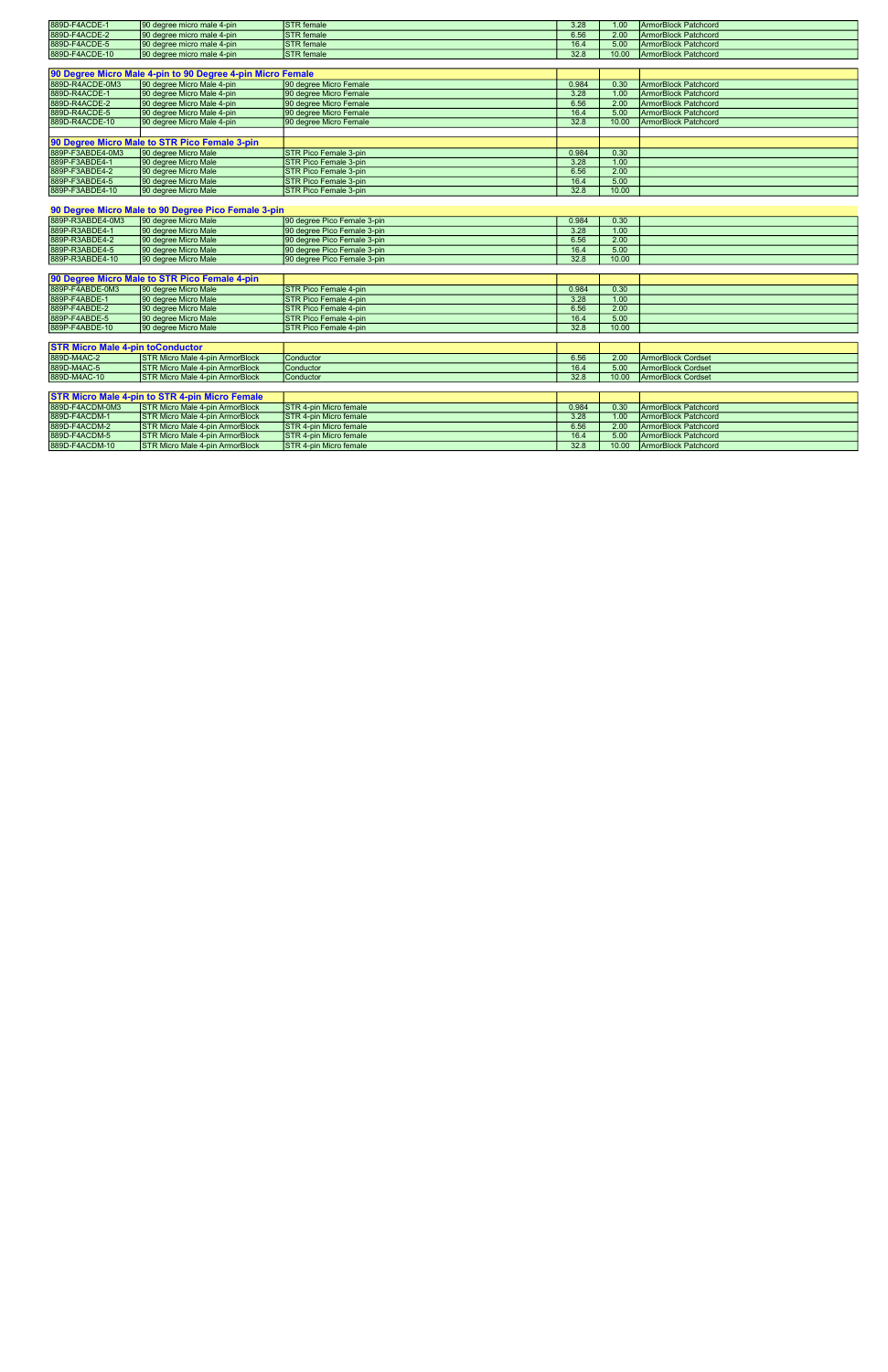| 889D-F4ACDE-1                           | 90 degree micro male 4-pin                                 | <b>STR</b> female             | 3.28  | 1.00  | <b>ArmorBlock Patchcord</b> |
|-----------------------------------------|------------------------------------------------------------|-------------------------------|-------|-------|-----------------------------|
| 889D-F4ACDE-2                           | 90 degree micro male 4-pin                                 | <b>STR</b> female             | 6.56  | 2.00  | <b>ArmorBlock Patchcord</b> |
| 889D-F4ACDE-5                           | 90 degree micro male 4-pin                                 | <b>STR</b> female             | 16.4  | 5.00  | <b>ArmorBlock Patchcord</b> |
| 889D-F4ACDE-10                          | 90 degree micro male 4-pin                                 | <b>STR</b> female             | 32.8  | 10.00 | <b>ArmorBlock Patchcord</b> |
|                                         |                                                            |                               |       |       |                             |
|                                         | 90 Degree Micro Male 4-pin to 90 Degree 4-pin Micro Female |                               |       |       |                             |
| 889D-R4ACDE-0M3                         | 90 degree Micro Male 4-pin                                 | 90 degree Micro Female        | 0.984 | 0.30  | <b>ArmorBlock Patchcord</b> |
| 889D-R4ACDE-1                           | 90 degree Micro Male 4-pin                                 | 90 degree Micro Female        | 3.28  | 1.00  | <b>ArmorBlock Patchcord</b> |
| 889D-R4ACDE-2                           | 90 degree Micro Male 4-pin                                 | 90 degree Micro Female        | 6.56  | 2.00  | <b>ArmorBlock Patchcord</b> |
| 889D-R4ACDE-5                           | 90 degree Micro Male 4-pin                                 | 90 degree Micro Female        | 16.4  | 5.00  | <b>ArmorBlock Patchcord</b> |
| 889D-R4ACDE-10                          | 90 degree Micro Male 4-pin                                 | 90 degree Micro Female        | 32.8  | 10.00 | <b>ArmorBlock Patchcord</b> |
|                                         |                                                            |                               |       |       |                             |
|                                         | 90 Degree Micro Male to STR Pico Female 3-pin              |                               |       |       |                             |
| 889P-F3ABDE4-0M3                        | 90 degree Micro Male                                       | <b>STR Pico Female 3-pin</b>  | 0.984 | 0.30  |                             |
| 889P-F3ABDE4-1                          | 90 degree Micro Male                                       | <b>STR Pico Female 3-pin</b>  | 3.28  | 1.00  |                             |
| 889P-F3ABDE4-2                          | 90 degree Micro Male                                       | STR Pico Female 3-pin         | 6.56  | 2.00  |                             |
| 889P-F3ABDE4-5                          | 90 degree Micro Male                                       | <b>STR Pico Female 3-pin</b>  | 16.4  | 5.00  |                             |
| 889P-F3ABDE4-10                         | 90 degree Micro Male                                       | <b>STR Pico Female 3-pin</b>  | 32.8  | 10.00 |                             |
|                                         |                                                            |                               |       |       |                             |
|                                         | 90 Degree Micro Male to 90 Degree Pico Female 3-pin        |                               |       |       |                             |
| 889P-R3ABDE4-0M3                        | 90 degree Micro Male                                       | 90 degree Pico Female 3-pin   | 0.984 | 0.30  |                             |
| 889P-R3ABDE4-1                          | 90 degree Micro Male                                       | 90 degree Pico Female 3-pin   | 3.28  | 1.00  |                             |
| 889P-R3ABDE4-2                          | 90 degree Micro Male                                       | 90 degree Pico Female 3-pin   | 6.56  | 2.00  |                             |
| 889P-R3ABDE4-5                          | 90 degree Micro Male                                       | 90 degree Pico Female 3-pin   | 16.4  | 5.00  |                             |
| 889P-R3ABDE4-10                         | 90 degree Micro Male                                       | 90 degree Pico Female 3-pin   | 32.8  | 10.00 |                             |
|                                         |                                                            |                               |       |       |                             |
|                                         | 90 Degree Micro Male to STR Pico Female 4-pin              |                               |       |       |                             |
| 889P-F4ABDE-0M3                         | 90 degree Micro Male                                       | STR Pico Female 4-pin         | 0.984 | 0.30  |                             |
| 889P-F4ABDE-1                           | 90 degree Micro Male                                       | <b>STR Pico Female 4-pin</b>  | 3.28  | 1.00  |                             |
| 889P-F4ABDE-2                           | 90 degree Micro Male                                       | <b>STR Pico Female 4-pin</b>  | 6.56  | 2.00  |                             |
| 889P-F4ABDE-5                           | 90 degree Micro Male                                       | <b>STR Pico Female 4-pin</b>  | 16.4  | 5.00  |                             |
| 889P-F4ABDE-10                          | 90 degree Micro Male                                       | <b>STR Pico Female 4-pin</b>  | 32.8  | 10.00 |                             |
|                                         |                                                            |                               |       |       |                             |
| <b>STR Micro Male 4-pin toConductor</b> |                                                            |                               |       |       |                             |
| 889D-M4AC-2                             | <b>STR Micro Male 4-pin ArmorBlock</b>                     | Conductor                     | 6.56  | 2.00  | <b>ArmorBlock Cordset</b>   |
| 889D-M4AC-5                             | <b>STR Micro Male 4-pin ArmorBlock</b>                     | Conductor                     | 16.4  | 5.00  | <b>ArmorBlock Cordset</b>   |
| 889D-M4AC-10                            | <b>STR Micro Male 4-pin ArmorBlock</b>                     | Conductor                     | 32.8  | 10.00 | <b>ArmorBlock Cordset</b>   |
|                                         |                                                            |                               |       |       |                             |
|                                         | <b>STR Micro Male 4-pin to STR 4-pin Micro Female</b>      |                               |       |       |                             |
| 889D-F4ACDM-0M3                         | <b>STR Micro Male 4-pin ArmorBlock</b>                     | <b>STR 4-pin Micro female</b> | 0.984 | 0.30  | <b>ArmorBlock Patchcord</b> |
| 889D-F4ACDM-1                           | <b>STR Micro Male 4-pin ArmorBlock</b>                     | STR 4-pin Micro female        | 3.28  | 1.00  | <b>ArmorBlock Patchcord</b> |
| 889D-F4ACDM-2                           | <b>STR Micro Male 4-pin ArmorBlock</b>                     | <b>STR 4-pin Micro female</b> | 6.56  | 2.00  | <b>ArmorBlock Patchcord</b> |
| 889D-F4ACDM-5                           | <b>STR Micro Male 4-pin ArmorBlock</b>                     | <b>STR 4-pin Micro female</b> | 16.4  | 5.00  | <b>ArmorBlock Patchcord</b> |

889D-F4ACDM-10 STR Micro Male 4-pin ArmorBlock STR 4-pin Micro female 32.8 32.8 10.00 ArmorBlock Patchcord 32.8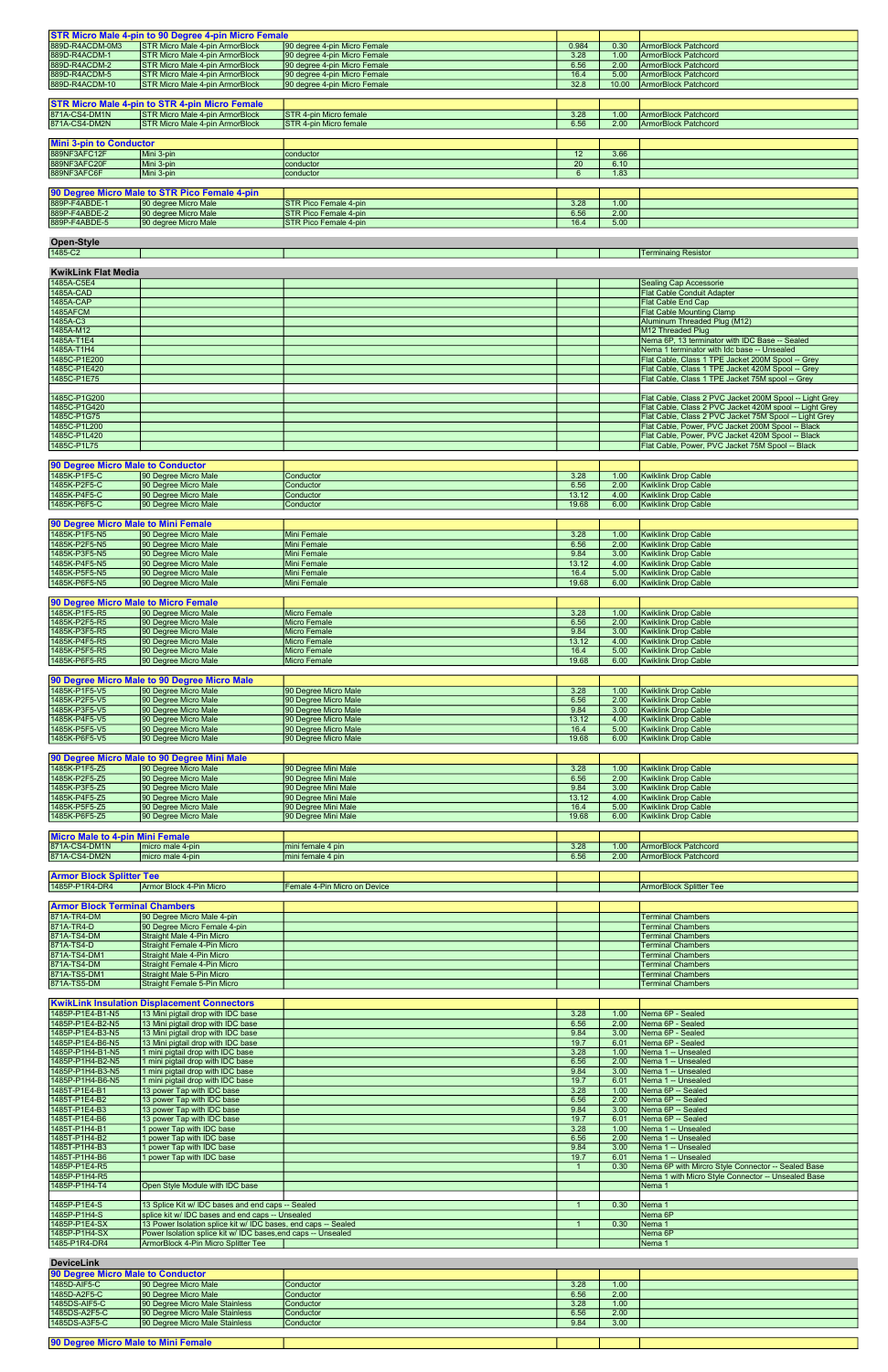| 889D-R4ACDM-0M3                        | <b>STR Micro Male 4-pin to 90 Degree 4-pin Micro Female</b><br><b>STR Micro Male 4-pin ArmorBlock</b> | 90 degree 4-pin Micro Female  | 0.984           | 0.30         | <b>ArmorBlock Patchcord</b>                              |
|----------------------------------------|-------------------------------------------------------------------------------------------------------|-------------------------------|-----------------|--------------|----------------------------------------------------------|
| 889D-R4ACDM-1                          | <b>STR Micro Male 4-pin ArmorBlock</b>                                                                | 90 degree 4-pin Micro Female  | 3.28            | 1.00         | <b>ArmorBlock Patchcord</b>                              |
| 889D-R4ACDM-2                          | <b>STR Micro Male 4-pin ArmorBlock</b>                                                                | 90 degree 4-pin Micro Female  | 6.56            |              | <b>ArmorBlock Patchcord</b>                              |
| 889D-R4ACDM-5                          | <b>STR Micro Male 4-pin ArmorBlock</b>                                                                |                               |                 | 2.00         |                                                          |
|                                        |                                                                                                       | 90 degree 4-pin Micro Female  | 16.4            | 5.00         | <b>ArmorBlock Patchcord</b>                              |
| 889D-R4ACDM-10                         | <b>STR Micro Male 4-pin ArmorBlock</b>                                                                | 90 degree 4-pin Micro Female  | 32.8            | 10.00        | <b>ArmorBlock Patchcord</b>                              |
|                                        |                                                                                                       |                               |                 |              |                                                          |
|                                        | <b>STR Micro Male 4-pin to STR 4-pin Micro Female</b>                                                 |                               |                 |              |                                                          |
| 871A-CS4-DM1N                          | <b>STR Micro Male 4-pin ArmorBlock</b>                                                                | STR 4-pin Micro female        | 3.28            | 1.00         | <b>ArmorBlock Patchcord</b>                              |
| 871A-CS4-DM2N                          | <b>STR Micro Male 4-pin ArmorBlock</b>                                                                | <b>STR 4-pin Micro female</b> | 6.56            | 2.00         | <b>ArmorBlock Patchcord</b>                              |
|                                        |                                                                                                       |                               |                 |              |                                                          |
| <b>Mini 3-pin to Conductor</b>         |                                                                                                       |                               |                 |              |                                                          |
| 889NF3AFC12F                           | Mini 3-pin                                                                                            | conductor                     | 12              | 3.66         |                                                          |
| 889NF3AFC20F                           | Mini 3-pin                                                                                            | conductor                     | $\overline{20}$ | 6.10         |                                                          |
| 889NF3AFC6F                            | Mini 3-pin                                                                                            | conductor                     | 6               | 1.83         |                                                          |
|                                        |                                                                                                       |                               |                 |              |                                                          |
|                                        |                                                                                                       |                               |                 |              |                                                          |
|                                        | 90 Degree Micro Male to STR Pico Female 4-pin                                                         |                               |                 |              |                                                          |
| 889P-F4ABDE-1                          | 90 degree Micro Male                                                                                  | <b>STR Pico Female 4-pin</b>  | 3.28            | 1.00         |                                                          |
| 889P-F4ABDE-2                          | 90 degree Micro Male                                                                                  | STR Pico Female 4-pin         | 6.56            | 2.00         |                                                          |
| 889P-F4ABDE-5                          | 90 degree Micro Male                                                                                  | <b>STR Pico Female 4-pin</b>  | 16.4            | 5.00         |                                                          |
|                                        |                                                                                                       |                               |                 |              |                                                          |
| <b>Open-Style</b>                      |                                                                                                       |                               |                 |              |                                                          |
| 1485-C2                                |                                                                                                       |                               |                 |              | <b>Terminaing Resistor</b>                               |
|                                        |                                                                                                       |                               |                 |              |                                                          |
| <b>KwikLink Flat Media</b>             |                                                                                                       |                               |                 |              |                                                          |
| 1485A-C5E4                             |                                                                                                       |                               |                 |              |                                                          |
|                                        |                                                                                                       |                               |                 |              | <b>Sealing Cap Accessorie</b>                            |
| 1485A-CAD                              |                                                                                                       |                               |                 |              | <b>Flat Cable Conduit Adapter</b>                        |
| 1485A-CAP                              |                                                                                                       |                               |                 |              | <b>Flat Cable End Cap</b>                                |
| 1485AFCM                               |                                                                                                       |                               |                 |              | <b>Flat Cable Mounting Clamp</b>                         |
| 1485A-C3                               |                                                                                                       |                               |                 |              | Aluminum Threaded Plug (M12)                             |
| 1485A-M12                              |                                                                                                       |                               |                 |              | M12 Threaded Plug                                        |
| 1485A-T1E4                             |                                                                                                       |                               |                 |              | Nema 6P, 13 terminator with IDC Base -- Sealed           |
| 1485A-T1H4                             |                                                                                                       |                               |                 |              | Nema 1 terminator with Idc base -- Unsealed              |
| 1485C-P1E200                           |                                                                                                       |                               |                 |              | Flat Cable, Class 1 TPE Jacket 200M Spool -- Grey        |
| 1485C-P1E420                           |                                                                                                       |                               |                 |              | Flat Cable, Class 1 TPE Jacket 420M Spool -- Grey        |
| 1485C-P1E75                            |                                                                                                       |                               |                 |              | Flat Cable, Class 1 TPE Jacket 75M spool -- Grey         |
|                                        |                                                                                                       |                               |                 |              |                                                          |
| 1485C-P1G200                           |                                                                                                       |                               |                 |              | Flat Cable, Class 2 PVC Jacket 200M Spool -- Light Grey  |
| 1485C-P1G420                           |                                                                                                       |                               |                 |              | Flat Cable, Class 2 PVC Jacket 420M spool -- Light Grey  |
| 1485C-P1G75                            |                                                                                                       |                               |                 |              | Flat Cable, Class 2 PVC Jacket 75M Spool -- Light Grey   |
| 1485C-P1L200                           |                                                                                                       |                               |                 |              | Flat Cable, Power, PVC Jacket 200M Spool -- Black        |
| 1485C-P1L420                           |                                                                                                       |                               |                 |              | Flat Cable, Power, PVC Jacket 420M Spool -- Black        |
|                                        |                                                                                                       |                               |                 |              |                                                          |
| 1485C-P1L75                            |                                                                                                       |                               |                 |              | Flat Cable, Power, PVC Jacket 75M Spool -- Black         |
|                                        |                                                                                                       |                               |                 |              |                                                          |
| 90 Degree Micro Male to Conductor      |                                                                                                       |                               |                 |              |                                                          |
| 1485K-P1F5-C                           | 90 Degree Micro Male                                                                                  | Conductor                     | 3.28            | 1.00         | <b>Kwiklink Drop Cable</b>                               |
| 1485K-P2F5-C                           | 90 Degree Micro Male                                                                                  | Conductor                     | 6.56            | 2.00         | <b>Kwiklink Drop Cable</b>                               |
| 1485K-P4F5-C                           | 90 Degree Micro Male                                                                                  | Conductor                     | 13.12           | 4.00         | <b>Kwiklink Drop Cable</b>                               |
| 1485K-P6F5-C                           | 90 Degree Micro Male                                                                                  | Conductor                     | 19.68           | 6.00         | <b>Kwiklink Drop Cable</b>                               |
|                                        |                                                                                                       |                               |                 |              |                                                          |
| 90 Degree Micro Male to Mini Female    |                                                                                                       |                               |                 |              |                                                          |
| 1485K-P1F5-N5                          | 90 Degree Micro Male                                                                                  | Mini Female                   | 3.28            | 1.00         | <b>Kwiklink Drop Cable</b>                               |
|                                        | 90 Degree Micro Male                                                                                  | Mini Female                   | 6.56            | 2.00         | <b>Kwiklink Drop Cable</b>                               |
|                                        |                                                                                                       |                               |                 |              |                                                          |
| 1485K-P2F5-N5                          |                                                                                                       |                               |                 |              |                                                          |
| 1485K-P3F5-N5                          | 90 Degree Micro Male                                                                                  | Mini Female                   | 9.84            | 3.00         | <b>Kwiklink Drop Cable</b>                               |
| 1485K-P4F5-N5                          | 90 Degree Micro Male                                                                                  | <b>Mini Female</b>            | 13.12           | 4.00         | <b>Kwiklink Drop Cable</b>                               |
| 1485K-P5F5-N5                          | 90 Degree Micro Male                                                                                  | Mini Female                   | 16.4            | 5.00         | <b>Kwiklink Drop Cable</b>                               |
| 1485K-P6F5-N5                          | 90 Degree Micro Male                                                                                  | Mini Female                   | 19.68           | 6.00         | <b>Kwiklink Drop Cable</b>                               |
|                                        |                                                                                                       |                               |                 |              |                                                          |
| 90 Degree Micro Male to Micro Female   |                                                                                                       |                               |                 |              |                                                          |
| 1485K-P1F5-R5                          |                                                                                                       | <b>Micro Female</b>           | 3.28            | 1.00         | <b>Kwiklink Drop Cable</b>                               |
|                                        | 90 Degree Micro Male<br>90 Degree Micro Male                                                          | <b>Micro Female</b>           | 6.56            | 2.00         |                                                          |
| 1485K-P2F5-R5                          | 90 Degree Micro Male                                                                                  | <b>Micro Female</b>           |                 |              | <b>Kwiklink Drop Cable</b>                               |
| 1485K-P3F5-R5<br>1485K-P4F5-R5         | 90 Degree Micro Male                                                                                  | <b>Micro Female</b>           | 9.84<br>13.12   | 3.00<br>4.00 | <b>Kwiklink Drop Cable</b><br><b>Kwiklink Drop Cable</b> |
|                                        |                                                                                                       |                               |                 |              |                                                          |
| 1485K-P5F5-R5                          | 90 Degree Micro Male                                                                                  | Micro Female                  | 16.4            | 5.00         | <b>Kwiklink Drop Cable</b>                               |
| 1485K-P6F5-R5                          | 90 Degree Micro Male                                                                                  | <b>Micro Female</b>           | 19.68           | 6.00         | <b>Kwiklink Drop Cable</b>                               |
|                                        |                                                                                                       |                               |                 |              |                                                          |
|                                        | 90 Degree Micro Male to 90 Degree Micro Male                                                          |                               |                 |              |                                                          |
| 1485K-P1F5-V5                          | 90 Degree Micro Male                                                                                  | 90 Degree Micro Male          | 3.28            | 1.00         | <b>Kwiklink Drop Cable</b>                               |
| 1485K-P2F5-V5                          | 90 Degree Micro Male                                                                                  | 90 Degree Micro Male          | 6.56            | 2.00         | <b>Kwiklink Drop Cable</b>                               |
| 1485K-P3F5-V5                          | 90 Degree Micro Male                                                                                  | 90 Degree Micro Male          | 9.84            | 3.00         | <b>Kwiklink Drop Cable</b>                               |
| 1485K-P4F5-V5                          | 90 Degree Micro Male                                                                                  | 90 Degree Micro Male          | 13.12           | 4.00         | <b>Kwiklink Drop Cable</b>                               |
| 1485K-P5F5-V5                          | 90 Degree Micro Male                                                                                  | 90 Degree Micro Male          | 16.4            | 5.00         | <b>Kwiklink Drop Cable</b>                               |
| 1485K-P6F5-V5                          | 90 Degree Micro Male                                                                                  | 90 Degree Micro Male          | 19.68           | 6.00         | <b>Kwiklink Drop Cable</b>                               |
|                                        |                                                                                                       |                               |                 |              |                                                          |
|                                        | 90 Degree Micro Male to 90 Degree Mini Male                                                           |                               |                 |              |                                                          |
| 1485K-P1F5-Z5                          | 90 Degree Micro Male                                                                                  | 90 Degree Mini Male           | 3.28            | 1.00         | <b>Kwiklink Drop Cable</b>                               |
| 1485K-P2F5-Z5                          | 90 Degree Micro Male                                                                                  | 90 Degree Mini Male           | 6.56            | 2.00         | <b>Kwiklink Drop Cable</b>                               |
| 1485K-P3F5-Z5                          | 90 Degree Micro Male                                                                                  | 90 Degree Mini Male           | 9.84            | 3.00         | <b>Kwiklink Drop Cable</b>                               |
|                                        |                                                                                                       | 90 Degree Mini Male           | 13.12           | 4.00         |                                                          |
| 1485K-P4F5-Z5<br>1485K-P5F5-Z5         | 90 Degree Micro Male                                                                                  |                               | 16.4            | 5.00         | <b>Kwiklink Drop Cable</b>                               |
|                                        | 90 Degree Micro Male                                                                                  | 90 Degree Mini Male           |                 | 6.00         | <b>Kwiklink Drop Cable</b>                               |
| 1485K-P6F5-Z5                          | 90 Degree Micro Male                                                                                  | 90 Degree Mini Male           | 19.68           |              | <b>Kwiklink Drop Cable</b>                               |
|                                        |                                                                                                       |                               |                 |              |                                                          |
| <b>Micro Male to 4-pin Mini Female</b> |                                                                                                       |                               |                 |              |                                                          |
| 871A-CS4-DM1N                          | micro male 4-pin                                                                                      | mini female 4 pin             | 3.28            | 1.00         | <b>ArmorBlock Patchcord</b>                              |
| 871A-CS4-DM2N                          | micro male 4-pin                                                                                      | mini female 4 pin             | 6.56            | 2.00         | <b>ArmorBlock Patchcord</b>                              |
|                                        |                                                                                                       |                               |                 |              |                                                          |
| <b>Armor Block Splitter Tee</b>        |                                                                                                       |                               |                 |              |                                                          |
| 1485P-P1R4-DR4                         | Armor Block 4-Pin Micro                                                                               | Female 4-Pin Micro on Device  |                 |              | <b>ArmorBlock Splitter Tee</b>                           |
|                                        |                                                                                                       |                               |                 |              |                                                          |
| <b>Armor Block Terminal Chambers</b>   |                                                                                                       |                               |                 |              |                                                          |
|                                        |                                                                                                       |                               |                 |              |                                                          |
| 871A-TR4-DM                            | 90 Degree Micro Male 4-pin                                                                            |                               |                 |              | <b>Terminal Chambers</b>                                 |
| 871A-TR4-D                             | 90 Degree Micro Female 4-pin                                                                          |                               |                 |              | <b>Terminal Chambers</b>                                 |
| 871A-TS4-DM                            | Straight Male 4-Pin Micro                                                                             |                               |                 |              | <b>Terminal Chambers</b>                                 |
| 871A-TS4-D                             | Straight Female 4-Pin Micro                                                                           |                               |                 |              | <b>Terminal Chambers</b>                                 |
| 871A-TS4-DM1                           | <b>Straight Male 4-Pin Micro</b>                                                                      |                               |                 |              | <b>Terminal Chambers</b>                                 |
| 871A-TS4-DM                            | Straight Female 4-Pin Micro                                                                           |                               |                 |              | <b>Terminal Chambers</b>                                 |
| 871A-TS5-DM1<br>871A-TS5-DM            | <b>Straight Male 5-Pin Micro</b><br><b>Straight Female 5-Pin Micro</b>                                |                               |                 |              | <b>Terminal Chambers</b><br><b>Terminal Chambers</b>     |

| 1485P-P1E4-B1-N5 | 13 Mini pigtail drop with IDC base                             | 3.28 | 1.00 | Nema 6P - Sealed                                   |
|------------------|----------------------------------------------------------------|------|------|----------------------------------------------------|
| 1485P-P1E4-B2-N5 | 13 Mini pigtail drop with IDC base                             | 6.56 | 2.00 | Nema 6P - Sealed                                   |
| 1485P-P1E4-B3-N5 | 13 Mini pigtail drop with IDC base                             | 9.84 | 3.00 | Nema 6P - Sealed                                   |
| 1485P-P1E4-B6-N5 | 13 Mini pigtail drop with IDC base                             | 19.7 | 6.01 | Nema 6P - Sealed                                   |
| 1485P-P1H4-B1-N5 | 1 mini pigtail drop with IDC base                              | 3.28 | 1.00 | Nema 1 -- Unsealed                                 |
| 1485P-P1H4-B2-N5 | 1 mini pigtail drop with IDC base                              | 6.56 | 2.00 | Nema 1 -- Unsealed                                 |
| 1485P-P1H4-B3-N5 | 1 mini pigtail drop with IDC base                              | 9.84 | 3.00 | Nema 1 -- Unsealed                                 |
| 1485P-P1H4-B6-N5 | 1 mini pigtail drop with IDC base                              | 19.7 | 6.01 | Nema 1 -- Unsealed                                 |
| 1485T-P1E4-B1    | 13 power Tap with IDC base                                     | 3.28 | 1.00 | Nema 6P -- Sealed                                  |
| 1485T-P1E4-B2    | 13 power Tap with IDC base                                     | 6.56 | 2.00 | Nema 6P -- Sealed                                  |
| 1485T-P1E4-B3    | 13 power Tap with IDC base                                     | 9.84 | 3.00 | Nema 6P -- Sealed                                  |
| 1485T-P1E4-B6    | 13 power Tap with IDC base                                     | 19.7 | 6.01 | Nema 6P -- Sealed                                  |
| 1485T-P1H4-B1    | 1 power Tap with IDC base                                      | 3.28 | 1.00 | Nema 1 -- Unsealed                                 |
| 1485T-P1H4-B2    | 1 power Tap with IDC base                                      | 6.56 | 2.00 | Nema 1 -- Unsealed                                 |
| 1485T-P1H4-B3    | 1 power Tap with IDC base                                      | 9.84 | 3.00 | Nema 1 -- Unsealed                                 |
| 1485T-P1H4-B6    | 1 power Tap with IDC base                                      | 19.7 | 6.01 | Nema 1 -- Unsealed                                 |
| 1485P-P1E4-R5    |                                                                |      | 0.30 | Nema 6P with Mircro Style Connector -- Sealed Base |
| 1485P-P1H4-R5    |                                                                |      |      | Nema 1 with Micro Style Connector -- Unsealed Base |
| 1485P-P1H4-T4    | Open Style Module with IDC base                                |      |      | Nema 1                                             |
|                  |                                                                |      |      |                                                    |
| 1485P-P1E4-S     | 13 Splice Kit w/ IDC bases and end caps -- Sealed              |      | 0.30 | Nema <sub>1</sub>                                  |
| 1485P-P1H4-S     | splice kit w/ IDC bases and end caps -- Unsealed               |      |      | Nema 6P                                            |
| 1485P-P1E4-SX    | 13 Power Isolation splice kit w/ IDC bases, end caps -- Sealed |      | 0.30 | Nema <sub>1</sub>                                  |
| 1485P-P1H4-SX    | Power Isolation splice kit w/ IDC bases, end caps -- Unsealed  |      |      | Nema 6P                                            |
| 1485-P1R4-DR4    | ArmorBlock 4-Pin Micro Splitter Tee                            |      |      | Nema 1                                             |

| <b>DeviceLink</b>                 |                                |                  |      |      |  |  |  |  |  |
|-----------------------------------|--------------------------------|------------------|------|------|--|--|--|--|--|
| 90 Degree Micro Male to Conductor |                                |                  |      |      |  |  |  |  |  |
| 1485D-AIF5-C                      | 90 Degree Micro Male           | Conductor        | 3.28 | 1.00 |  |  |  |  |  |
| 1485D-A2F5-C                      | 90 Degree Micro Male           | Conductor        | 6.56 | 2.00 |  |  |  |  |  |
| 1485DS-AIF5-C                     | 90 Degree Micro Male Stainless | <b>Conductor</b> | 3.28 | 1.00 |  |  |  |  |  |
| 1485DS-A2F5-C                     | 90 Degree Micro Male Stainless | <b>Conductor</b> | 6.56 | 2.00 |  |  |  |  |  |
| 1485DS-A3F5-C                     | 90 Degree Micro Male Stainless | <b>Conductor</b> | 9.84 | 3.00 |  |  |  |  |  |

| 90 Degre<br>.<br>.<br><b>Ni Female</b><br>$\cdots$ can bucke Main to business $\cdots$<br>о ман ю мін |  |  |
|-------------------------------------------------------------------------------------------------------|--|--|
|                                                                                                       |  |  |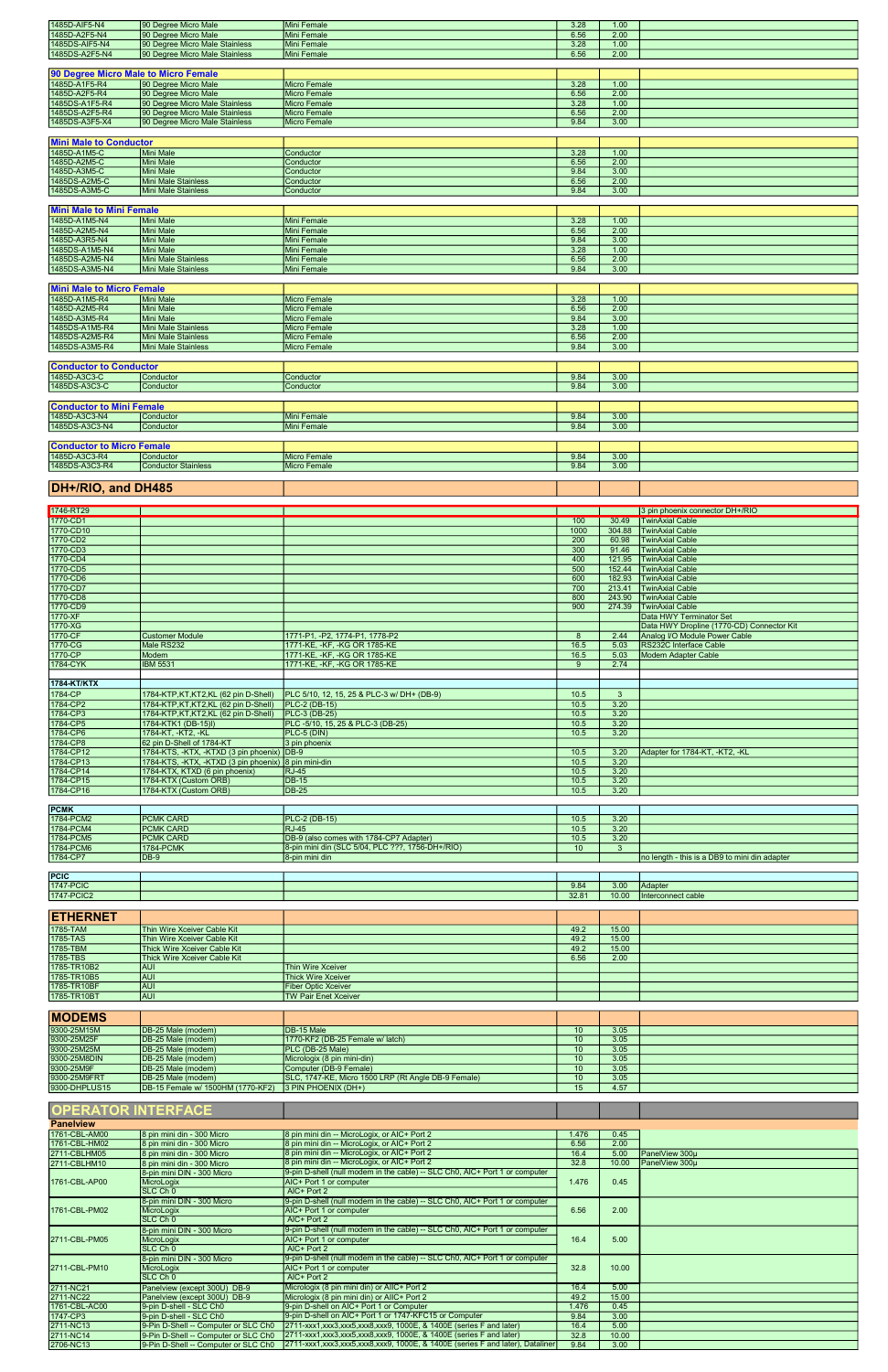| 1485D-AIF5-N4                        | 90 Degree Micro Male                                 | <b>Mini Female</b>                                        | 3.28              | 1.00         |                                               |
|--------------------------------------|------------------------------------------------------|-----------------------------------------------------------|-------------------|--------------|-----------------------------------------------|
| 1485D-A2F5-N4                        | 90 Degree Micro Male                                 | <b>Mini Female</b>                                        | 6.56              | 2.00         |                                               |
| 1485DS-AIF5-N4                       | 90 Degree Micro Male Stainless                       | <b>Mini Female</b>                                        | 3.28              | 1.00         |                                               |
| 1485DS-A2F5-N4                       | 90 Degree Micro Male Stainless                       | <b>Mini Female</b>                                        | 6.56              | 2.00         |                                               |
|                                      |                                                      |                                                           |                   |              |                                               |
|                                      |                                                      |                                                           |                   |              |                                               |
| 90 Degree Micro Male to Micro Female |                                                      |                                                           |                   |              |                                               |
| 1485D-A1F5-R4                        | 90 Degree Micro Male                                 | <b>Micro Female</b>                                       | 3.28              | 1.00         |                                               |
| 1485D-A2F5-R4                        | 90 Degree Micro Male                                 | <b>Micro Female</b>                                       | 6.56              | 2.00         |                                               |
| 1485DS-A1F5-R4                       | 90 Degree Micro Male Stainless                       | <b>Micro Female</b>                                       | 3.28              | 1.00         |                                               |
| 1485DS-A2F5-R4                       | 90 Degree Micro Male Stainless                       | <b>Micro Female</b>                                       | 6.56              | 2.00         |                                               |
| 1485DS-A3F5-X4                       | 90 Degree Micro Male Stainless                       | <b>Micro Female</b>                                       | 9.84              | 3.00         |                                               |
|                                      |                                                      |                                                           |                   |              |                                               |
| <b>Mini Male to Conductor</b>        |                                                      |                                                           |                   |              |                                               |
| 1485D-A1M5-C                         | <b>Mini Male</b>                                     | Conductor                                                 | 3.28              | 1.00         |                                               |
| 1485D-A2M5-C                         | <b>Mini Male</b>                                     | Conductor                                                 | 6.56              | 2.00         |                                               |
| 1485D-A3M5-C                         | <b>Mini Male</b>                                     | Conductor                                                 | 9.84              | 3.00         |                                               |
| 1485DS-A2M5-C                        | <b>Mini Male Stainless</b>                           | Conductor                                                 | 6.56              | 2.00         |                                               |
| 1485DS-A3M5-C                        | <b>Mini Male Stainless</b>                           | Conductor                                                 | 9.84              | 3.00         |                                               |
|                                      |                                                      |                                                           |                   |              |                                               |
|                                      |                                                      |                                                           |                   |              |                                               |
| <b>Mini Male to Mini Female</b>      |                                                      |                                                           |                   |              |                                               |
| 1485D-A1M5-N4                        | <b>Mini Male</b>                                     | <b>Mini Female</b>                                        | 3.28              | 1.00         |                                               |
| 1485D-A2M5-N4                        | <b>Mini Male</b>                                     | <b>Mini Female</b>                                        | 6.56              | 2.00         |                                               |
| 1485D-A3R5-N4                        | <b>Mini Male</b>                                     | <b>Mini Female</b>                                        | 9.84              | 3.00         |                                               |
| 1485DS-A1M5-N4                       | <b>Mini Male</b>                                     | <b>Mini Female</b>                                        | 3.28              | 1.00         |                                               |
| 1485DS-A2M5-N4                       | <b>Mini Male Stainless</b>                           | <b>Mini Female</b>                                        | 6.56              | 2.00         |                                               |
| 1485DS-A3M5-N4                       | <b>Mini Male Stainless</b>                           | <b>Mini Female</b>                                        | 9.84              | 3.00         |                                               |
|                                      |                                                      |                                                           |                   |              |                                               |
| <b>Mini Male to Micro Female</b>     |                                                      |                                                           |                   |              |                                               |
| 1485D-A1M5-R4                        | <b>Mini Male</b>                                     | <b>Micro Female</b>                                       | 3.28              | 1.00         |                                               |
| 1485D-A2M5-R4                        | <b>Mini Male</b>                                     | <b>Micro Female</b>                                       | 6.56              | 2.00         |                                               |
| 1485D-A3M5-R4                        | <b>Mini Male</b>                                     | <b>Micro Female</b>                                       | 9.84              | 3.00         |                                               |
| 1485DS-A1M5-R4                       | <b>Mini Male Stainless</b>                           | <b>Micro Female</b>                                       | 3.28              | 1.00         |                                               |
| 1485DS-A2M5-R4                       | <b>Mini Male Stainless</b>                           | <b>Micro Female</b>                                       | 6.56              | 2.00         |                                               |
| 1485DS-A3M5-R4                       | <b>Mini Male Stainless</b>                           | Micro Female                                              | 9.84              | 3.00         |                                               |
|                                      |                                                      |                                                           |                   |              |                                               |
|                                      |                                                      |                                                           |                   |              |                                               |
| <b>Conductor to Conductor</b>        |                                                      |                                                           |                   |              |                                               |
| 1485D-A3C3-C                         | Conductor                                            | Conductor                                                 | 9.84              | 3.00         |                                               |
| 1485DS-A3C3-C                        | Conductor                                            | Conductor                                                 | 9.84              | 3.00         |                                               |
|                                      |                                                      |                                                           |                   |              |                                               |
| <b>Conductor to Mini Female</b>      |                                                      |                                                           |                   |              |                                               |
| 1485D-A3C3-N4                        | Conductor                                            | <b>Mini Female</b>                                        | 9.84              | 3.00         |                                               |
| 1485DS-A3C3-N4                       | Conductor                                            | <b>Mini Female</b>                                        | 9.84              | 3.00         |                                               |
|                                      |                                                      |                                                           |                   |              |                                               |
| <b>Conductor to Micro Female</b>     |                                                      |                                                           |                   |              |                                               |
| 1485D-A3C3-R4                        | Conductor                                            | Micro Female                                              | 9.84              | 3.00         |                                               |
| 1485DS-A3C3-R4                       | <b>Conductor Stainless</b>                           | Micro Female                                              | 9.84              | 3.00         |                                               |
|                                      |                                                      |                                                           |                   |              |                                               |
|                                      |                                                      |                                                           |                   |              |                                               |
| DH+/RIO, and DH485                   |                                                      |                                                           |                   |              |                                               |
|                                      |                                                      |                                                           |                   |              |                                               |
| 1746-RT29                            |                                                      |                                                           |                   |              | 3 pin phoenix connector DH+/RIO               |
|                                      |                                                      |                                                           |                   |              |                                               |
|                                      |                                                      |                                                           |                   |              |                                               |
| 1770-CD1                             |                                                      |                                                           |                   |              | 100 30.49 TwinAxial Cable                     |
| 1770-CD10                            |                                                      |                                                           | 1000              |              | 304.88   TwinAxial Cable                      |
| 1770-CD2                             |                                                      |                                                           | 200               | 60.98        | <b>TwinAxial Cable</b>                        |
| 1770-CD3                             |                                                      |                                                           | 300               | 91.46        | <b>TwinAxial Cable</b>                        |
| 1770-CD4                             |                                                      |                                                           | 400               | 121.95       | <b>TwinAxial Cable</b>                        |
| 1770-CD5                             |                                                      |                                                           | 500               | 152.44       | <b>TwinAxial Cable</b>                        |
| 1770-CD6                             |                                                      |                                                           | 600               |              | 182.93 TwinAxial Cable                        |
| 1770-CD7                             |                                                      |                                                           | 700               |              | 213.41 TwinAxial Cable                        |
| 1770-CD8                             |                                                      |                                                           | 800               | 243.90       | <b>TwinAxial Cable</b>                        |
| 1770-CD9                             |                                                      |                                                           | 900               | 274.39       | <b>TwinAxial Cable</b>                        |
| 1770-XF                              |                                                      |                                                           |                   |              | Data HWY Terminator Set                       |
| 1770-XG                              |                                                      |                                                           |                   |              | Data HWY Dropline (1770-CD) Connector Kit     |
| 1770-CF                              | <b>Customer Module</b>                               | 1771-P1, -P2, 1774-P1, 1778-P2                            | 8                 | 2.44         | Analog I/O Module Power Cable                 |
| 1770-CG                              | Male RS232                                           | 1771-KE, -KF, -KG OR 1785-KE                              | 16.5              | 5.03         | RS232C Interface Cable                        |
| 1770-CP                              | Modem                                                | 1771-KE, -KF, -KG OR 1785-KE                              | 16.5              | 5.03         | <b>Modem Adapter Cable</b>                    |
| 1784-CYK                             | <b>IBM 5531</b>                                      | 1771-KE, -KF, -KG OR 1785-KE                              | 9                 | 2.74         |                                               |
|                                      |                                                      |                                                           |                   |              |                                               |
|                                      |                                                      |                                                           |                   |              |                                               |
| 1784-KT/KTX                          |                                                      |                                                           |                   |              |                                               |
| 1784-CP                              | 1784-KTP,KT,KT2,KL (62 pin D-Shell)                  | PLC 5/10, 12, 15, 25 & PLC-3 w/ DH+ (DB-9)                | 10.5              | $\mathbf{3}$ |                                               |
| 1784-CP2                             | 1784-KTP, KT, KT2, KL (62 pin D-Shell)               | PLC-2 (DB-15)                                             | 10.5              | 3.20         |                                               |
| 1784-CP3                             | 1784-KTP, KT, KT2, KL (62 pin D-Shell)               | PLC-3 (DB-25)                                             | 10.5              | 3.20         |                                               |
| 1784-CP5                             | 1784-KTK1 (DB-15)I)                                  | PLC-5/10, 15, 25 & PLC-3 (DB-25)                          | 10.5              | 3.20         |                                               |
| 1784-CP6                             | 1784-KT, -KT2, -KL                                   | PLC-5 (DIN)                                               | 10.5              | 3.20         |                                               |
| 1784-CP8                             | 62 pin D-Shell of 1784-KT                            | 3 pin phoenix                                             |                   |              |                                               |
| 1784-CP12                            | 1784-KTS, -KTX, -KTXD (3 pin phoenix)                | $DB-9$                                                    | 10.5              | 3.20         | Adapter for 1784-KT, -KT2, -KL                |
| 1784-CP13                            | 1784-KTS, -KTX, -KTXD (3 pin phoenix) 8 pin mini-din |                                                           | 10.5              | 3.20         |                                               |
| 1784-CP14                            | 1784-KTX, KTXD (6 pin phoenix)                       | <b>RJ-45</b>                                              | 10.5              | 3.20         |                                               |
| 1784-CP15                            | 1784-KTX (Custom ORB)                                | <b>DB-15</b>                                              | $\overline{10.5}$ | 3.20         |                                               |
| 1784-CP16                            | 1784-KTX (Custom ORB)                                | <b>DB-25</b>                                              | 10.5              | 3.20         |                                               |
|                                      |                                                      |                                                           |                   |              |                                               |
| <b>PCMK</b>                          |                                                      |                                                           |                   |              |                                               |
| 1784-PCM2                            | <b>PCMK CARD</b>                                     | <b>PLC-2 (DB-15)</b>                                      | 10.5              | 3.20         |                                               |
| 1784-PCM4                            | <b>PCMK CARD</b>                                     | <b>RJ-45</b>                                              | 10.5              | 3.20         |                                               |
| 1784-PCM5                            | <b>PCMK CARD</b>                                     | DB-9 (also comes with 1784-CP7 Adapter)                   | 10.5              | 3.20         |                                               |
| 1784-PCM6                            | <b>1784-PCMK</b>                                     | 8-pin mini din (SLC 5/04, PLC ???, 1756-DH+/RIO)          | 10                | $\mathbf{3}$ |                                               |
| 1784-CP7                             | $DB-9$                                               | 8-pin mini din                                            |                   |              | no length - this is a DB9 to mini din adapter |
|                                      |                                                      |                                                           |                   |              |                                               |
| PC C                                 |                                                      |                                                           |                   |              |                                               |
| 1747-PCIC                            |                                                      |                                                           | 9.84              | 3.00         | Adapter                                       |
| 1747-PCIC2                           |                                                      |                                                           | 32.81             | 10.00        | Interconnect cable                            |
|                                      |                                                      |                                                           |                   |              |                                               |
|                                      |                                                      |                                                           |                   |              |                                               |
| <b>ETHERNET</b>                      |                                                      |                                                           |                   |              |                                               |
| 1785-TAM                             | Thin Wire Xceiver Cable Kit                          |                                                           | 49.2              | 15.00        |                                               |
| 1785-TAS                             | Thin Wire Xceiver Cable Kit                          |                                                           | 49.2              | 15.00        |                                               |
| 1785-TBM                             | <b>Thick Wire Xceiver Cable Kit</b>                  |                                                           | 49.2              | 15.00        |                                               |
| 1785-TBS                             | <b>Thick Wire Xceiver Cable Kit</b>                  |                                                           | 6.56              | 2.00         |                                               |
| 1785-TR10B2                          | <b>AUI</b>                                           | Thin Wire Xceiver                                         |                   |              |                                               |
| 1785-TR10B5                          | <b>AUI</b>                                           | <b>Thick Wire Xceiver</b>                                 |                   |              |                                               |
| 1785-TR10BF<br>1785-TR10BT           | <b>AUI</b><br><b>AUI</b>                             | <b>Fiber Optic Xceiver</b><br><b>TW Pair Enet Xceiver</b> |                   |              |                                               |

| <b>MODEMS</b>             |                                      |                                                                               |                  |       |                |
|---------------------------|--------------------------------------|-------------------------------------------------------------------------------|------------------|-------|----------------|
| 9300-25M15M               | DB-25 Male (modem)                   | DB-15 Male                                                                    | 10 <sup>°</sup>  | 3.05  |                |
| 9300-25M25F               | DB-25 Male (modem)                   | 1770-KF2 (DB-25 Female w/ latch)                                              | 10 <sup>10</sup> | 3.05  |                |
| 9300-25M25M               | DB-25 Male (modem)                   | PLC (DB-25 Male)                                                              | 10               | 3.05  |                |
| 9300-25M8DIN              | DB-25 Male (modem)                   | Micrologix (8 pin mini-din)                                                   | 10 <sup>1</sup>  | 3.05  |                |
| 9300-25M9F                | DB-25 Male (modem)                   | Computer (DB-9 Female)                                                        | 10               | 3.05  |                |
| 9300-25M9FRT              | DB-25 Male (modem)                   | SLC, 1747-KE, Micro 1500 LRP (Rt Angle DB-9 Female)                           | 10               | 3.05  |                |
| 9300-DHPLUS15             | DB-15 Female w/ 1500HM (1770-KF2)    | 3 PIN PHOENIX (DH+)                                                           | 15               | 4.57  |                |
|                           |                                      |                                                                               |                  |       |                |
| <b>OPERATOR INTERFACE</b> |                                      |                                                                               |                  |       |                |
| <b>Panelview</b>          |                                      |                                                                               |                  |       |                |
| 1761-CBL-AM00             | 8 pin mini din - 300 Micro           | 8 pin mini din -- MicroLogix, or AIC+ Port 2                                  | 1.476            | 0.45  |                |
| 1761-CBL-HM02             | 8 pin mini din - 300 Micro           | 8 pin mini din -- MicroLogix, or AIC+ Port 2                                  | 6.56             | 2.00  |                |
| 2711-CBLHM05              | 8 pin mini din - 300 Micro           | 8 pin mini din -- MicroLogix, or AIC+ Port 2                                  | 16.4             | 5.00  | PanelView 300u |
| 2711-CBLHM10              | 8 pin mini din - 300 Micro           | 8 pin mini din -- MicroLogix, or AIC+ Port 2                                  | 32.8             | 10.00 | PanelView 300u |
|                           | 8-pin mini DIN - 300 Micro           | 9-pin D-shell (null modem in the cable) -- SLC Ch0, AIC+ Port 1 or computer   | 1.476            |       |                |
| 1761-CBL-AP00             | MicroLogix                           | AIC+ Port 1 or computer                                                       |                  | 0.45  |                |
|                           | SLC Ch <sub>0</sub>                  | AIC+ Port 2                                                                   |                  |       |                |
|                           | 8-pin mini DIN - 300 Micro           | 9-pin D-shell (null modem in the cable) -- SLC Ch0, AIC+ Port 1 or computer   | 6.56             | 2.00  |                |
| 1761-CBL-PM02             | MicroLogix                           | AIC+ Port 1 or computer                                                       |                  |       |                |
|                           | SLC Ch <sub>0</sub>                  | AIC+ Port 2                                                                   |                  |       |                |
|                           | 8-pin mini DIN - 300 Micro           | 9-pin D-shell (null modem in the cable) -- SLC Ch0, AIC+ Port 1 or computer   | 16.4             |       |                |
| 2711-CBL-PM05             | MicroLogix                           | AIC+ Port 1 or computer                                                       |                  | 5.00  |                |
|                           | $SLC$ $Ch$ <sup>0</sup>              | AIC+ Port 2                                                                   |                  |       |                |
| 2711-CBL-PM10             | 8-pin mini DIN - 300 Micro           | 9-pin D-shell (null modem in the cable) -- SLC Ch0, AIC+ Port 1 or computer   | 32.8             |       |                |
|                           | MicroLogix                           | AIC+ Port 1 or computer                                                       |                  | 10.00 |                |
|                           | SLC Ch <sub>0</sub>                  | AIC+ Port 2                                                                   |                  |       |                |
| 2711-NC21                 | Panelview (except 300U) DB-9         | Micrologix (8 pin mini din) or AllC+ Port 2                                   | 16.4             | 5.00  |                |
| 2711-NC22                 | Panelview (except 300U) DB-9         | Micrologix (8 pin mini din) or AllC+ Port 2                                   | 49.2             | 15.00 |                |
| 1761-CBL-AC00             | 9-pin D-shell - SLC Ch0              | 9-pin D-shell on AIC+ Port 1 or Computer                                      | 1.476            | 0.45  |                |
| 1747-CP3                  | 9-pin D-shell - SLC Ch0              | 9-pin D-shell on AIC+ Port 1 or 1747-KFC15 or Computer                        | 9.84             | 3.00  |                |
| 2711-NC13                 | 9-Pin D-Shell -- Computer or SLC Ch0 | 2711-xxx1.xxx3.xxx5.xxx8.xxx9.1000E, & 1400E (series F and later)             | 16.4             | 5.00  |                |
| 2711-NC14                 | 9-Pin D-Shell -- Computer or SLC Ch0 | 2711-xxx1,xxx3,xxx5,xxx8,xxx9, 1000E, & 1400E (series F and later)            | 32.8             | 10.00 |                |
| 2706-NC13                 | 9-Pin D-Shell -- Computer or SLC Ch0 | 2711-xxx1,xxx3,xxx5,xxx8,xxx9, 1000E, & 1400E (series F and later), Dataliner | 9.84             | 3.00  |                |